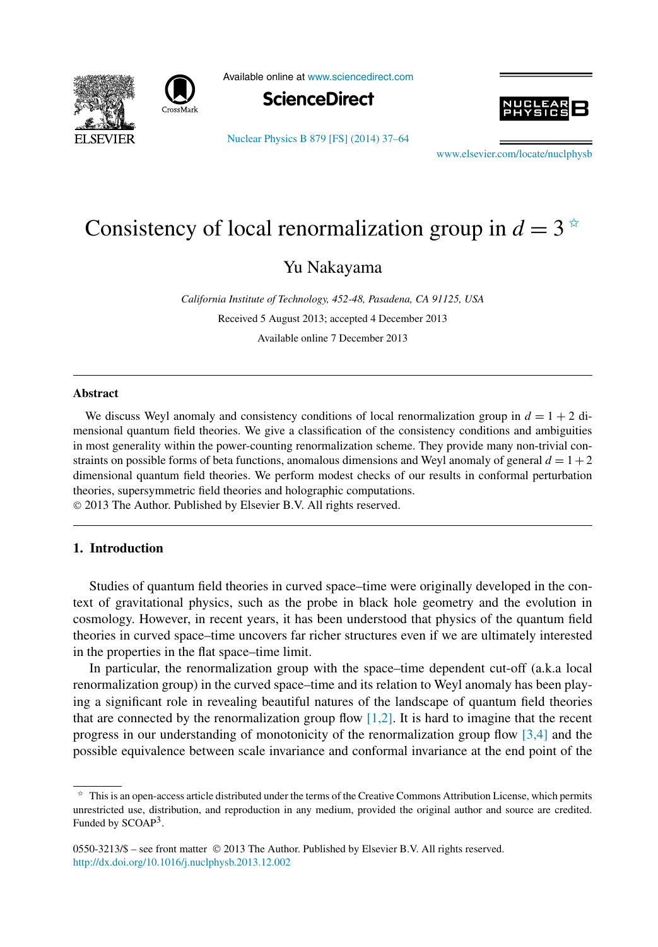



Available online at [www.sciencedirect.com](http://www.sciencedirect.com)



[Nuclear Physics B 879 \[FS\] \(2014\) 37–64](http://dx.doi.org/10.1016/j.nuclphysb.2013.12.002)



[www.elsevier.com/locate/nuclphysb](http://www.elsevier.com/locate/nuclphysb)

# Consistency of local renormalization group in  $d = 3$ <sup> $\approx$ </sup>

Yu Nakayama

*California Institute of Technology, 452-48, Pasadena, CA 91125, USA* Received 5 August 2013; accepted 4 December 2013 Available online 7 December 2013

## **Abstract**

We discuss Weyl anomaly and consistency conditions of local renormalization group in  $d = 1 + 2$  dimensional quantum field theories. We give a classification of the consistency conditions and ambiguities in most generality within the power-counting renormalization scheme. They provide many non-trivial constraints on possible forms of beta functions, anomalous dimensions and Weyl anomaly of general  $d = 1 + 2$ dimensional quantum field theories. We perform modest checks of our results in conformal perturbation theories, supersymmetric field theories and holographic computations.

© 2013 The Author. Published by Elsevier B.V. All rights reserved.

# **1. Introduction**

Studies of quantum field theories in curved space–time were originally developed in the context of gravitational physics, such as the probe in black hole geometry and the evolution in cosmology. However, in recent years, it has been understood that physics of the quantum field theories in curved space–time uncovers far richer structures even if we are ultimately interested in the properties in the flat space–time limit.

In particular, the renormalization group with the space–time dependent cut-off (a.k.a local renormalization group) in the curved space–time and its relation to Weyl anomaly has been playing a significant role in revealing beautiful natures of the landscape of quantum field theories that are connected by the renormalization group flow  $[1,2]$ . It is hard to imagine that the recent progress in our understanding of monotonicity of the renormalization group flow  $[3,4]$  and the possible equivalence between scale invariance and conformal invariance at the end point of the

 $\hat{\tau}$  This is an open-access article distributed under the terms of the Creative Commons Attribution License, which permits unrestricted use, distribution, and reproduction in any medium, provided the original author and source are credited. Funded by SCOAP<sup>3</sup>.

<sup>0550-3213/\$ –</sup> see front matter © 2013 The Author. Published by Elsevier B.V. All rights reserved. <http://dx.doi.org/10.1016/j.nuclphysb.2013.12.002>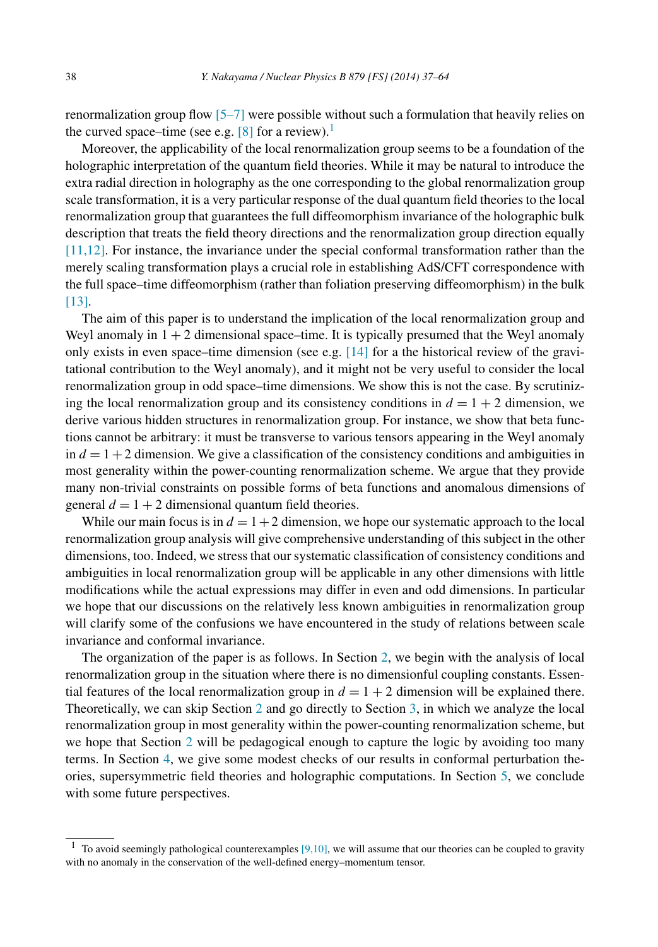renormalization group flow [\[5–7\]](#page-26-0) were possible without such a formulation that heavily relies on the curved space–time (see e.g.  $[8]$  for a review).<sup>1</sup>

Moreover, the applicability of the local renormalization group seems to be a foundation of the holographic interpretation of the quantum field theories. While it may be natural to introduce the extra radial direction in holography as the one corresponding to the global renormalization group scale transformation, it is a very particular response of the dual quantum field theories to the local renormalization group that guarantees the full diffeomorphism invariance of the holographic bulk description that treats the field theory directions and the renormalization group direction equally [\[11,12\].](#page-27-0) For instance, the invariance under the special conformal transformation rather than the merely scaling transformation plays a crucial role in establishing AdS/CFT correspondence with the full space–time diffeomorphism (rather than foliation preserving diffeomorphism) in the bulk [\[13\].](#page-27-0)

The aim of this paper is to understand the implication of the local renormalization group and Weyl anomaly in  $1 + 2$  dimensional space–time. It is typically presumed that the Weyl anomaly only exists in even space–time dimension (see e.g. [\[14\]](#page-27-0) for a the historical review of the gravitational contribution to the Weyl anomaly), and it might not be very useful to consider the local renormalization group in odd space–time dimensions. We show this is not the case. By scrutinizing the local renormalization group and its consistency conditions in  $d = 1 + 2$  dimension, we derive various hidden structures in renormalization group. For instance, we show that beta functions cannot be arbitrary: it must be transverse to various tensors appearing in the Weyl anomaly in  $d = 1 + 2$  dimension. We give a classification of the consistency conditions and ambiguities in most generality within the power-counting renormalization scheme. We argue that they provide many non-trivial constraints on possible forms of beta functions and anomalous dimensions of general  $d = 1 + 2$  dimensional quantum field theories.

While our main focus is in  $d = 1 + 2$  dimension, we hope our systematic approach to the local renormalization group analysis will give comprehensive understanding of this subject in the other dimensions, too. Indeed, we stress that our systematic classification of consistency conditions and ambiguities in local renormalization group will be applicable in any other dimensions with little modifications while the actual expressions may differ in even and odd dimensions. In particular we hope that our discussions on the relatively less known ambiguities in renormalization group will clarify some of the confusions we have encountered in the study of relations between scale invariance and conformal invariance.

The organization of the paper is as follows. In Section [2,](#page-2-0) we begin with the analysis of local renormalization group in the situation where there is no dimensionful coupling constants. Essential features of the local renormalization group in  $d = 1 + 2$  dimension will be explained there. Theoretically, we can skip Section [2](#page-2-0) and go directly to Section [3,](#page-10-0) in which we analyze the local renormalization group in most generality within the power-counting renormalization scheme, but we hope that Section [2](#page-2-0) will be pedagogical enough to capture the logic by avoiding too many terms. In Section [4,](#page-16-0) we give some modest checks of our results in conformal perturbation theories, supersymmetric field theories and holographic computations. In Section [5,](#page-23-0) we conclude with some future perspectives.

<sup>&</sup>lt;sup>1</sup> To avoid seemingly pathological counterexamples [\[9,10\],](#page-27-0) we will assume that our theories can be coupled to gravity with no anomaly in the conservation of the well-defined energy–momentum tensor.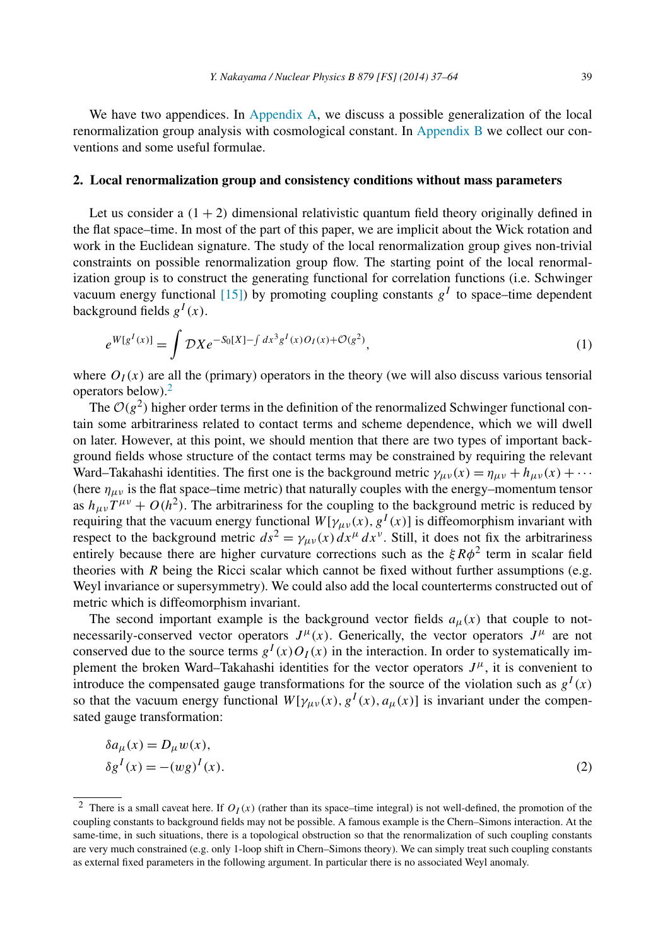<span id="page-2-0"></span>We have two appendices. In [Appendix A,](#page-24-0) we discuss a possible generalization of the local renormalization group analysis with cosmological constant. In [Appendix B](#page-25-0) we collect our conventions and some useful formulae.

## **2. Local renormalization group and consistency conditions without mass parameters**

Let us consider a  $(1 + 2)$  dimensional relativistic quantum field theory originally defined in the flat space–time. In most of the part of this paper, we are implicit about the Wick rotation and work in the Euclidean signature. The study of the local renormalization group gives non-trivial constraints on possible renormalization group flow. The starting point of the local renormalization group is to construct the generating functional for correlation functions (i.e. Schwinger vacuum energy functional [\[15\]\)](#page-27-0) by promoting coupling constants  $g<sup>I</sup>$  to space–time dependent background fields  $g^{I}(x)$ .

$$
e^{W[g^I(x)]} = \int \mathcal{D}X e^{-S_0[X] - \int dx^3 g^I(x)O_I(x) + \mathcal{O}(g^2)},
$$
\n(1)

where  $O_I(x)$  are all the (primary) operators in the theory (we will also discuss various tensorial operators below).<sup>2</sup>

The  $O(g^2)$  higher order terms in the definition of the renormalized Schwinger functional contain some arbitrariness related to contact terms and scheme dependence, which we will dwell on later. However, at this point, we should mention that there are two types of important background fields whose structure of the contact terms may be constrained by requiring the relevant Ward–Takahashi identities. The first one is the background metric  $\gamma_{\mu\nu}(x) = \eta_{\mu\nu} + h_{\mu\nu}(x) + \cdots$ (here  $\eta_{\mu\nu}$  is the flat space–time metric) that naturally couples with the energy–momentum tensor as  $h_{\mu\nu}T^{\mu\nu} + O(h^2)$ . The arbitrariness for the coupling to the background metric is reduced by requiring that the vacuum energy functional  $W[\gamma_{\mu\nu}(x), g^I(x)]$  is diffeomorphism invariant with respect to the background metric  $ds^2 = \gamma_{\mu\nu}(x) dx^{\mu} dx^{\nu}$ . Still, it does not fix the arbitrariness entirely because there are higher curvature corrections such as the *ξRφ*<sup>2</sup> term in scalar field theories with *R* being the Ricci scalar which cannot be fixed without further assumptions (e.g. Weyl invariance or supersymmetry). We could also add the local counterterms constructed out of metric which is diffeomorphism invariant.

The second important example is the background vector fields  $a<sub>u</sub>(x)$  that couple to notnecessarily-conserved vector operators  $J^{\mu}(x)$ . Generically, the vector operators  $J^{\mu}$  are not conserved due to the source terms  $g<sup>I</sup>(x)O<sub>I</sub>(x)$  in the interaction. In order to systematically implement the broken Ward–Takahashi identities for the vector operators  $J^{\mu}$ , it is convenient to introduce the compensated gauge transformations for the source of the violation such as  $g<sup>I</sup>(x)$ so that the vacuum energy functional  $W[\gamma_{\mu\nu}(x), g^I(x), a_\mu(x)]$  is invariant under the compensated gauge transformation:

$$
\delta a_{\mu}(x) = D_{\mu} w(x),
$$
  
\n
$$
\delta g^{I}(x) = -(wg)^{I}(x).
$$
\n(2)

<sup>&</sup>lt;sup>2</sup> There is a small caveat here. If  $O_I(x)$  (rather than its space–time integral) is not well-defined, the promotion of the coupling constants to background fields may not be possible. A famous example is the Chern–Simons interaction. At the same-time, in such situations, there is a topological obstruction so that the renormalization of such coupling constants are very much constrained (e.g. only 1-loop shift in Chern–Simons theory). We can simply treat such coupling constants as external fixed parameters in the following argument. In particular there is no associated Weyl anomaly.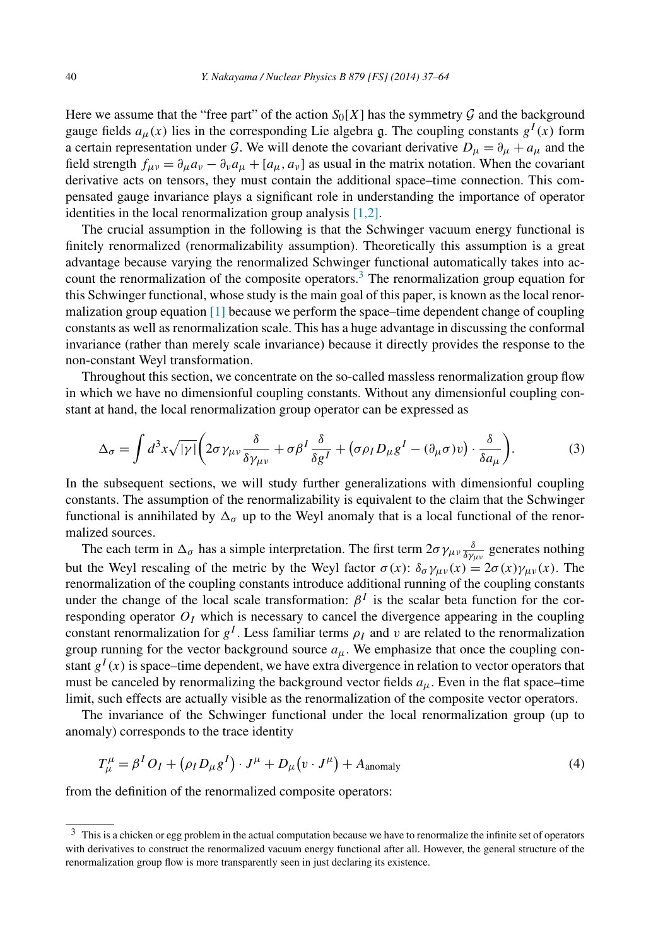<span id="page-3-0"></span>Here we assume that the "free part" of the action  $S_0[X]$  has the symmetry  $G$  and the background gauge fields  $a_{\mu}(x)$  lies in the corresponding Lie algebra g. The coupling constants  $g^{I}(x)$  form a certain representation under G. We will denote the covariant derivative  $D_{\mu} = \partial_{\mu} + a_{\mu}$  and the field strength  $f_{\mu\nu} = \partial_{\mu}a_{\nu} - \partial_{\nu}a_{\mu} + [a_{\mu}, a_{\nu}]$  as usual in the matrix notation. When the covariant derivative acts on tensors, they must contain the additional space–time connection. This compensated gauge invariance plays a significant role in understanding the importance of operator identities in the local renormalization group analysis  $[1,2]$ .

The crucial assumption in the following is that the Schwinger vacuum energy functional is finitely renormalized (renormalizability assumption). Theoretically this assumption is a great advantage because varying the renormalized Schwinger functional automatically takes into account the renormalization of the composite operators.<sup>3</sup> The renormalization group equation for this Schwinger functional, whose study is the main goal of this paper, is known as the local renormalization group equation [\[1\]](#page-26-0) because we perform the space–time dependent change of coupling constants as well as renormalization scale. This has a huge advantage in discussing the conformal invariance (rather than merely scale invariance) because it directly provides the response to the non-constant Weyl transformation.

Throughout this section, we concentrate on the so-called massless renormalization group flow in which we have no dimensionful coupling constants. Without any dimensionful coupling constant at hand, the local renormalization group operator can be expressed as

$$
\Delta_{\sigma} = \int d^{3}x \sqrt{|\gamma|} \left( 2\sigma \gamma_{\mu\nu} \frac{\delta}{\delta \gamma_{\mu\nu}} + \sigma \beta^{I} \frac{\delta}{\delta g^{I}} + (\sigma \rho_{I} D_{\mu} g^{I} - (\partial_{\mu} \sigma) v) \cdot \frac{\delta}{\delta a_{\mu}} \right).
$$
 (3)

In the subsequent sections, we will study further generalizations with dimensionful coupling constants. The assumption of the renormalizability is equivalent to the claim that the Schwinger functional is annihilated by  $\Delta_{\sigma}$  up to the Weyl anomaly that is a local functional of the renormalized sources.

The each term in  $\Delta_{\sigma}$  has a simple interpretation. The first term  $2\sigma\gamma_{\mu\nu}\frac{\delta}{\delta\gamma_{\mu\nu}}$  generates nothing but the Weyl rescaling of the metric by the Weyl factor  $\sigma(x)$ :  $\delta_{\sigma} \gamma_{\mu\nu}(x) = 2\sigma(x)\gamma_{\mu\nu}(x)$ . The renormalization of the coupling constants introduce additional running of the coupling constants under the change of the local scale transformation:  $\beta^{I}$  is the scalar beta function for the corresponding operator  $O<sub>I</sub>$  which is necessary to cancel the divergence appearing in the coupling constant renormalization for  $g^I$ . Less familiar terms  $\rho_I$  and v are related to the renormalization group running for the vector background source  $a_{\mu}$ . We emphasize that once the coupling constant  $g<sup>I</sup>(x)$  is space–time dependent, we have extra divergence in relation to vector operators that must be canceled by renormalizing the background vector fields  $a_{\mu}$ . Even in the flat space–time limit, such effects are actually visible as the renormalization of the composite vector operators.

The invariance of the Schwinger functional under the local renormalization group (up to anomaly) corresponds to the trace identity

$$
T^{\mu}_{\mu} = \beta^{I} O_{I} + (\rho_{I} D_{\mu} g^{I}) \cdot J^{\mu} + D_{\mu} (v \cdot J^{\mu}) + A_{\text{anomaly}}
$$
\n(4)

from the definition of the renormalized composite operators:

<sup>&</sup>lt;sup>3</sup> This is a chicken or egg problem in the actual computation because we have to renormalize the infinite set of operators with derivatives to construct the renormalized vacuum energy functional after all. However, the general structure of the renormalization group flow is more transparently seen in just declaring its existence.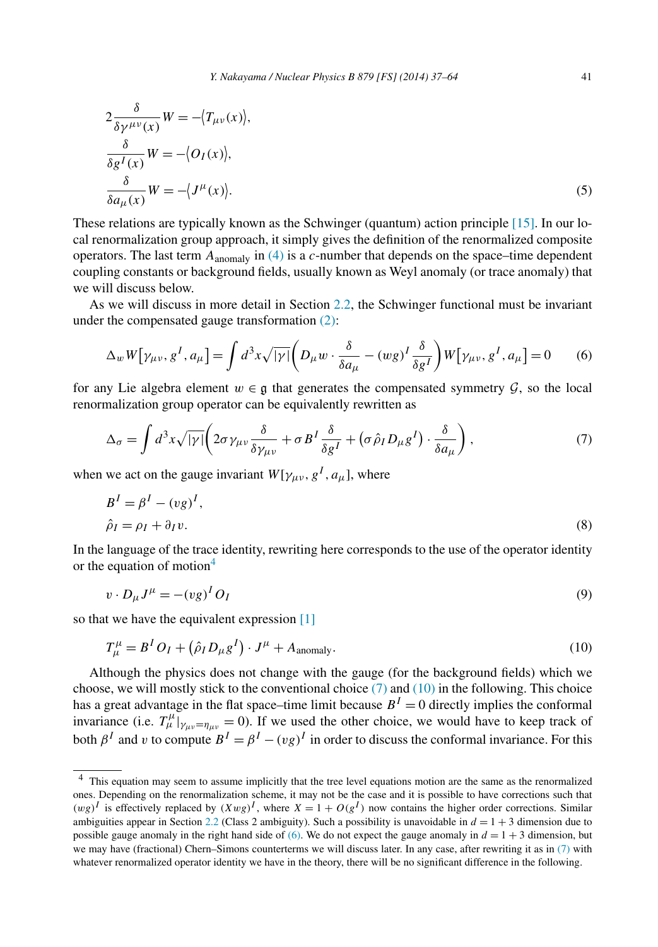$$
2\frac{\delta}{\delta \gamma^{\mu\nu}(x)}W = -\langle T_{\mu\nu}(x) \rangle,
$$
  
\n
$$
\frac{\delta}{\delta g^{I}(x)}W = -\langle O_{I}(x) \rangle,
$$
  
\n
$$
\frac{\delta}{\delta a_{\mu}(x)}W = -\langle J^{\mu}(x) \rangle.
$$
\n(5)

These relations are typically known as the Schwinger (quantum) action principle [\[15\].](#page-27-0) In our local renormalization group approach, it simply gives the definition of the renormalized composite operators. The last term  $A_{\text{anomaly}}$  in [\(4\)](#page-3-0) is a *c*-number that depends on the space–time dependent coupling constants or background fields, usually known as Weyl anomaly (or trace anomaly) that we will discuss below.

As we will discuss in more detail in Section [2.2,](#page-7-0) the Schwinger functional must be invariant under the compensated gauge transformation [\(2\):](#page-2-0)

$$
\Delta_w W[\gamma_{\mu\nu}, g^I, a_\mu] = \int d^3x \sqrt{|\gamma|} \left( D_\mu w \cdot \frac{\delta}{\delta a_\mu} - (wg)^I \frac{\delta}{\delta g^I} \right) W[\gamma_{\mu\nu}, g^I, a_\mu] = 0 \tag{6}
$$

for any Lie algebra element  $w \in \mathfrak{g}$  that generates the compensated symmetry  $\mathcal{G}$ , so the local renormalization group operator can be equivalently rewritten as

$$
\Delta_{\sigma} = \int d^3x \sqrt{|\gamma|} \left( 2\sigma \gamma_{\mu\nu} \frac{\delta}{\delta \gamma_{\mu\nu}} + \sigma B^I \frac{\delta}{\delta g^I} + \left( \sigma \hat{\rho}_I D_\mu g^I \right) \cdot \frac{\delta}{\delta a_\mu} \right),\tag{7}
$$

when we act on the gauge invariant  $W[\gamma_{\mu\nu}, g^I, a_\mu]$ , where

$$
BI = \betaI - (vg)I,
$$
  
\n
$$
\hat{\rho}_I = \rho_I + \partial_I v.
$$
\n(8)

In the language of the trace identity, rewriting here corresponds to the use of the operator identity or the equation of motion $4$ 

$$
v \cdot D_{\mu} J^{\mu} = -(vg)^{I} O_{I} \tag{9}
$$

so that we have the equivalent expression [\[1\]](#page-26-0)

$$
T^{\mu}_{\mu} = B^I O_I + \left(\hat{\rho}_I D_{\mu} g^I\right) \cdot J^{\mu} + A_{\text{anomaly}}.
$$
\n(10)

Although the physics does not change with the gauge (for the background fields) which we choose, we will mostly stick to the conventional choice  $(7)$  and  $(10)$  in the following. This choice has a great advantage in the flat space–time limit because  $B<sup>I</sup> = 0$  directly implies the conformal invariance (i.e.  $T^{\mu}_{\mu}$ )<sub>*γμν*=*ημν*</sub> = 0). If we used the other choice, we would have to keep track of both  $\beta^I$  and *v* to compute  $B^I = \beta^I - (vg)^I$  in order to discuss the conformal invariance. For this

<sup>&</sup>lt;sup>4</sup> This equation may seem to assume implicitly that the tree level equations motion are the same as the renormalized ones. Depending on the renormalization scheme, it may not be the case and it is possible to have corrections such that  $(wg)^{I}$  is effectively replaced by  $(Xwg)^{I}$ , where  $X = 1 + O(g^{I})$  now contains the higher order corrections. Similar ambiguities appear in Section [2.2](#page-7-0) (Class 2 ambiguity). Such a possibility is unavoidable in  $d = 1 + 3$  dimension due to possible gauge anomaly in the right hand side of (6). We do not expect the gauge anomaly in  $d = 1 + 3$  dimension, but we may have (fractional) Chern–Simons counterterms we will discuss later. In any case, after rewriting it as in (7) with whatever renormalized operator identity we have in the theory, there will be no significant difference in the following.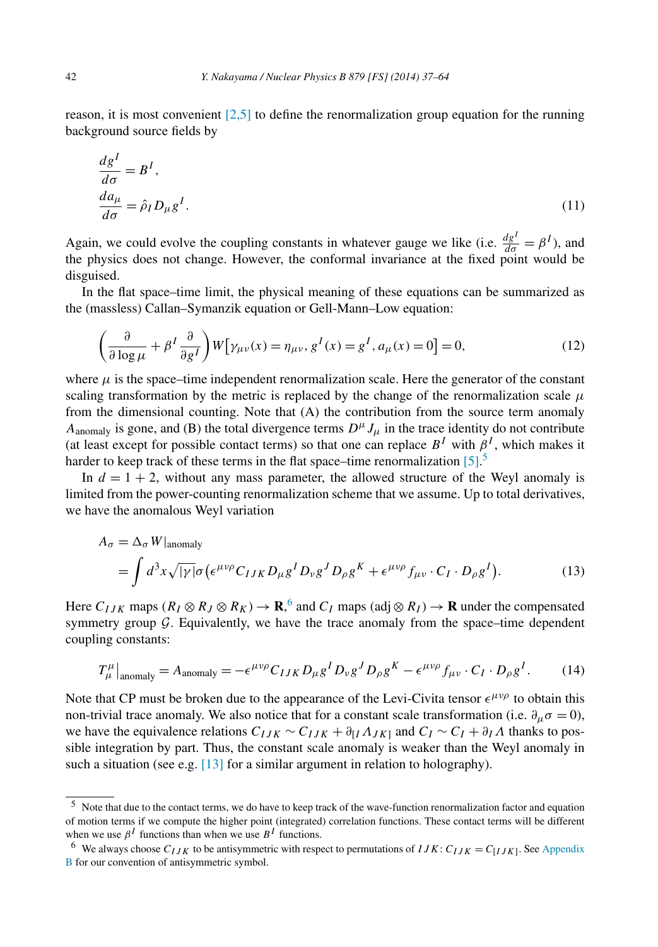<span id="page-5-0"></span>reason, it is most convenient  $[2,5]$  to define the renormalization group equation for the running background source fields by

$$
\frac{dg^{I}}{d\sigma} = B^{I},
$$
  
\n
$$
\frac{da_{\mu}}{d\sigma} = \hat{\rho}_{I} D_{\mu} g^{I}. \tag{11}
$$

Again, we could evolve the coupling constants in whatever gauge we like (i.e.  $\frac{dg^I}{d\sigma} = \beta^I$ ), and the physics does not change. However, the conformal invariance at the fixed point would be disguised.

In the flat space–time limit, the physical meaning of these equations can be summarized as the (massless) Callan–Symanzik equation or Gell-Mann–Low equation:

$$
\left(\frac{\partial}{\partial \log \mu} + \beta^I \frac{\partial}{\partial g^I}\right) W\big[\gamma_{\mu\nu}(x) = \eta_{\mu\nu}, g^I(x) = g^I, a_\mu(x) = 0\big] = 0,\tag{12}
$$

where  $\mu$  is the space–time independent renormalization scale. Here the generator of the constant scaling transformation by the metric is replaced by the change of the renormalization scale  $\mu$ from the dimensional counting. Note that (A) the contribution from the source term anomaly  $A_{\text{anomaly}}$  is gone, and (B) the total divergence terms  $D^{\mu} J_{\mu}$  in the trace identity do not contribute (at least except for possible contact terms) so that one can replace  $B<sup>I</sup>$  with  $\beta<sup>I</sup>$ , which makes it harder to keep track of these terms in the flat space–time renormalization [\[5\].](#page-26-0)<sup>5</sup>

In  $d = 1 + 2$ , without any mass parameter, the allowed structure of the Weyl anomaly is limited from the power-counting renormalization scheme that we assume. Up to total derivatives, we have the anomalous Weyl variation

$$
A_{\sigma} = \Delta_{\sigma} W|_{\text{anomaly}}
$$
  
=  $\int d^3x \sqrt{|\gamma|} \sigma (\epsilon^{\mu\nu\rho} C_{IJK} D_{\mu} g^I D_{\nu} g^J D_{\rho} g^K + \epsilon^{\mu\nu\rho} f_{\mu\nu} \cdot C_I \cdot D_{\rho} g^I).$  (13)

Here  $C_{IJK}$  maps  $(R_I \otimes R_J \otimes R_K) \to \mathbf{R}$ ,  $\circ$  and  $C_I$  maps  $(\text{adj} \otimes R_I) \to \mathbf{R}$  under the compensated symmetry group  $G$ . Equivalently, we have the trace anomaly from the space–time dependent coupling constants:

$$
T^{\mu}_{\mu}|_{\text{anomaly}} = A_{\text{anomaly}} = -\epsilon^{\mu\nu\rho} C_{IJK} D_{\mu} g^I D_{\nu} g^J D_{\rho} g^K - \epsilon^{\mu\nu\rho} f_{\mu\nu} \cdot C_I \cdot D_{\rho} g^I. \tag{14}
$$

Note that CP must be broken due to the appearance of the Levi-Civita tensor  $\epsilon^{\mu\nu\rho}$  to obtain this non-trivial trace anomaly. We also notice that for a constant scale transformation (i.e.  $\partial_{\mu}\sigma = 0$ ), we have the equivalence relations  $C_{IJK} \sim C_{IJK} + \partial_{[I} \Lambda_{JK]}$  and  $C_I \sim C_I + \partial_I \Lambda$  thanks to possible integration by part. Thus, the constant scale anomaly is weaker than the Weyl anomaly in such a situation (see e.g.  $[13]$  for a similar argument in relation to holography).

<sup>5</sup> Note that due to the contact terms, we do have to keep track of the wave-function renormalization factor and equation of motion terms if we compute the higher point (integrated) correlation functions. These contact terms will be different when we use  $\beta^I$  functions than when we use  $B^I$  functions.

<sup>&</sup>lt;sup>6</sup> We always choose  $C_{IJK}$  to be antisymmetric with respect to permutations of  $IJK: C_{IJK} = C_{IJK}$ . See [Appendix](#page-25-0) [B](#page-25-0) for our convention of antisymmetric symbol.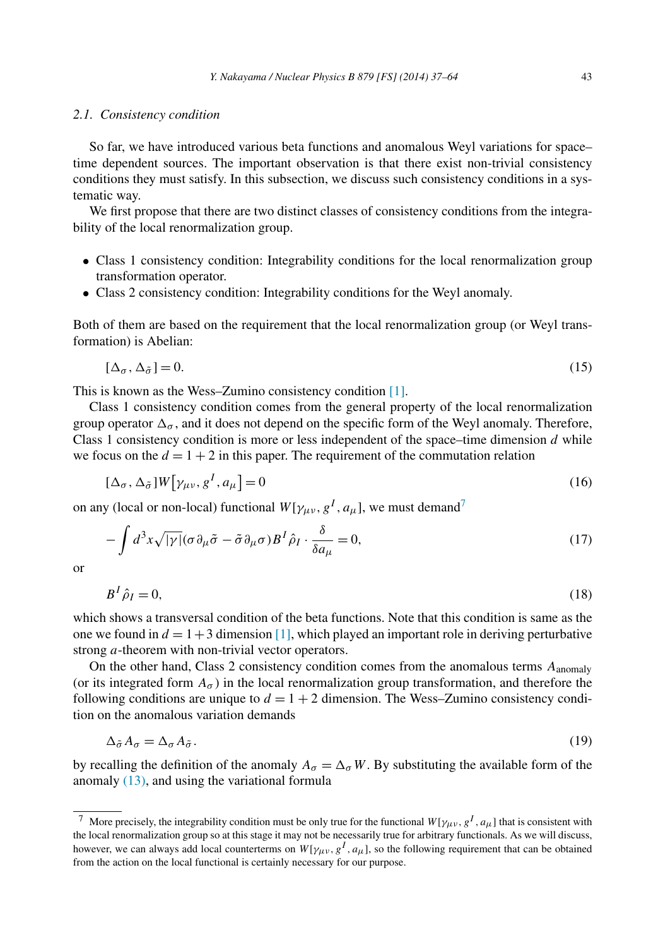## <span id="page-6-0"></span>*2.1. Consistency condition*

So far, we have introduced various beta functions and anomalous Weyl variations for space– time dependent sources. The important observation is that there exist non-trivial consistency conditions they must satisfy. In this subsection, we discuss such consistency conditions in a systematic way.

We first propose that there are two distinct classes of consistency conditions from the integrability of the local renormalization group.

- Class 1 consistency condition: Integrability conditions for the local renormalization group transformation operator.
- Class 2 consistency condition: Integrability conditions for the Weyl anomaly.

Both of them are based on the requirement that the local renormalization group (or Weyl transformation) is Abelian:

$$
[\Delta_{\sigma}, \Delta_{\tilde{\sigma}}] = 0. \tag{15}
$$

This is known as the Wess–Zumino consistency condition [\[1\].](#page-26-0)

Class 1 consistency condition comes from the general property of the local renormalization group operator  $\Delta_{\sigma}$ , and it does not depend on the specific form of the Weyl anomaly. Therefore, Class 1 consistency condition is more or less independent of the space–time dimension *d* while we focus on the  $d = 1 + 2$  in this paper. The requirement of the commutation relation

$$
[\Delta_{\sigma}, \Delta_{\tilde{\sigma}}]W[\gamma_{\mu\nu}, g^I, a_{\mu}] = 0 \tag{16}
$$

on any (local or non-local) functional  $W[\gamma_{\mu\nu}, g^I, a_\mu]$ , we must demand<sup>7</sup>

$$
-\int d^3x \sqrt{|\gamma|} (\sigma \partial_\mu \tilde{\sigma} - \tilde{\sigma} \partial_\mu \sigma) B^I \hat{\rho}_I \cdot \frac{\delta}{\delta a_\mu} = 0, \tag{17}
$$

or

$$
B^I \hat{\rho}_I = 0,\tag{18}
$$

which shows a transversal condition of the beta functions. Note that this condition is same as the one we found in  $d = 1+3$  dimension [\[1\],](#page-26-0) which played an important role in deriving perturbative strong *a*-theorem with non-trivial vector operators.

On the other hand, Class 2 consistency condition comes from the anomalous terms *A*anomaly (or its integrated form  $A_{\sigma}$ ) in the local renormalization group transformation, and therefore the following conditions are unique to  $d = 1 + 2$  dimension. The Wess–Zumino consistency condition on the anomalous variation demands

$$
\Delta_{\tilde{\sigma}} A_{\sigma} = \Delta_{\sigma} A_{\tilde{\sigma}}.
$$
\n(19)

by recalling the definition of the anomaly  $A_{\sigma} = \Delta_{\sigma} W$ . By substituting the available form of the anomaly [\(13\),](#page-5-0) and using the variational formula

<sup>&</sup>lt;sup>7</sup> More precisely, the integrability condition must be only true for the functional  $W[\gamma_{\mu\nu}, g^I, a_\mu]$  that is consistent with the local renormalization group so at this stage it may not be necessarily true for arbitrary functionals. As we will discuss, however, we can always add local counterterms on  $W[\gamma_\mu, g^I, a_\mu]$ , so the following requirement that can be obtained from the action on the local functional is certainly necessary for our purpose.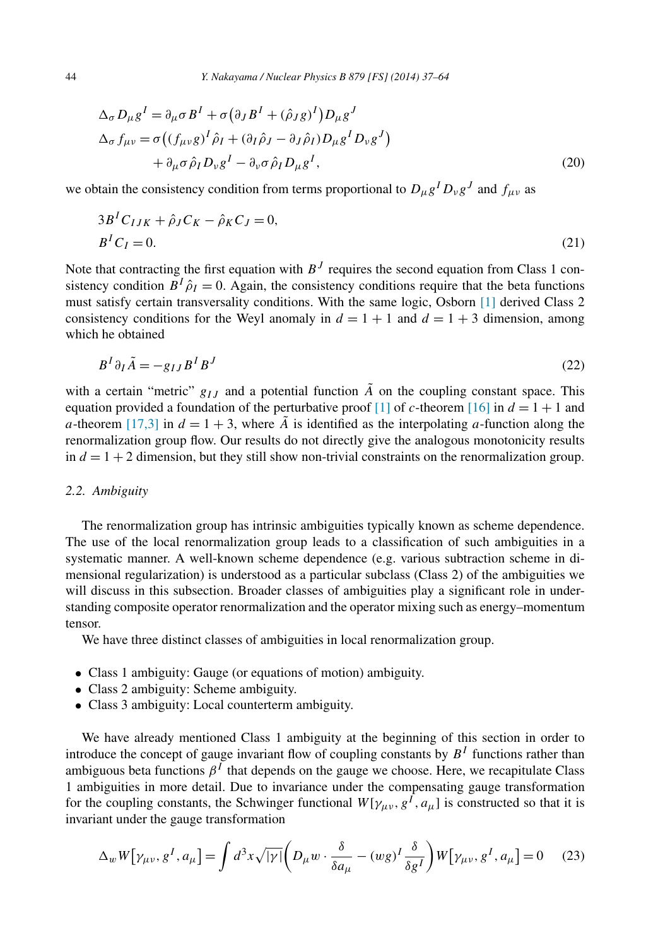<span id="page-7-0"></span>
$$
\Delta_{\sigma} D_{\mu} g^{I} = \partial_{\mu} \sigma B^{I} + \sigma (\partial_{J} B^{I} + (\hat{\rho}_{J} g)^{I}) D_{\mu} g^{J}
$$
  
\n
$$
\Delta_{\sigma} f_{\mu\nu} = \sigma ((f_{\mu\nu} g)^{I} \hat{\rho}_{I} + (\partial_{I} \hat{\rho}_{J} - \partial_{J} \hat{\rho}_{I}) D_{\mu} g^{I} D_{\nu} g^{J})
$$
  
\n
$$
+ \partial_{\mu} \sigma \hat{\rho}_{I} D_{\nu} g^{I} - \partial_{\nu} \sigma \hat{\rho}_{I} D_{\mu} g^{I},
$$
\n(20)

we obtain the consistency condition from terms proportional to  $D_{\mu}g^{I}D_{\nu}g^{J}$  and  $f_{\mu\nu}$  as

$$
3B^{I}C_{IJK} + \hat{\rho}_{J}C_{K} - \hat{\rho}_{K}C_{J} = 0,
$$
  
\n
$$
B^{I}C_{I} = 0.
$$
\n(21)

Note that contracting the first equation with  $B<sup>J</sup>$  requires the second equation from Class 1 consistency condition  $B^I \hat{\rho}_I = 0$ . Again, the consistency conditions require that the beta functions must satisfy certain transversality conditions. With the same logic, Osborn [\[1\]](#page-26-0) derived Class 2 consistency conditions for the Weyl anomaly in  $d = 1 + 1$  and  $d = 1 + 3$  dimension, among which he obtained

$$
B^I \partial_I \tilde{A} = -g_{IJ} B^I B^J \tag{22}
$$

with a certain "metric"  $g_{IJ}$  and a potential function  $\tilde{A}$  on the coupling constant space. This equation provided a foundation of the perturbative proof [\[1\]](#page-26-0) of *c*-theorem [\[16\]](#page-27-0) in  $d = 1 + 1$  and *a*-theorem [\[17,3\]](#page-27-0) in  $d = 1 + 3$ , where *A* is identified as the interpolating *a*-function along the renormalization group flow. Our results do not directly give the analogous monotonicity results in  $d = 1 + 2$  dimension, but they still show non-trivial constraints on the renormalization group.

# *2.2. Ambiguity*

The renormalization group has intrinsic ambiguities typically known as scheme dependence. The use of the local renormalization group leads to a classification of such ambiguities in a systematic manner. A well-known scheme dependence (e.g. various subtraction scheme in dimensional regularization) is understood as a particular subclass (Class 2) of the ambiguities we will discuss in this subsection. Broader classes of ambiguities play a significant role in understanding composite operator renormalization and the operator mixing such as energy–momentum tensor.

We have three distinct classes of ambiguities in local renormalization group.

- Class 1 ambiguity: Gauge (or equations of motion) ambiguity.
- Class 2 ambiguity: Scheme ambiguity.
- Class 3 ambiguity: Local counterterm ambiguity.

We have already mentioned Class 1 ambiguity at the beginning of this section in order to introduce the concept of gauge invariant flow of coupling constants by  $B<sup>I</sup>$  functions rather than ambiguous beta functions  $\beta^{I}$  that depends on the gauge we choose. Here, we recapitulate Class 1 ambiguities in more detail. Due to invariance under the compensating gauge transformation for the coupling constants, the Schwinger functional  $W[\gamma_{\mu\nu}, g^{\hat{I}}, a_{\mu}]$  is constructed so that it is invariant under the gauge transformation

$$
\Delta_w W[\gamma_{\mu\nu}, g^I, a_\mu] = \int d^3x \sqrt{|\gamma|} \left( D_\mu w \cdot \frac{\delta}{\delta a_\mu} - (wg)^I \frac{\delta}{\delta g^I} \right) W[\gamma_{\mu\nu}, g^I, a_\mu] = 0 \quad (23)
$$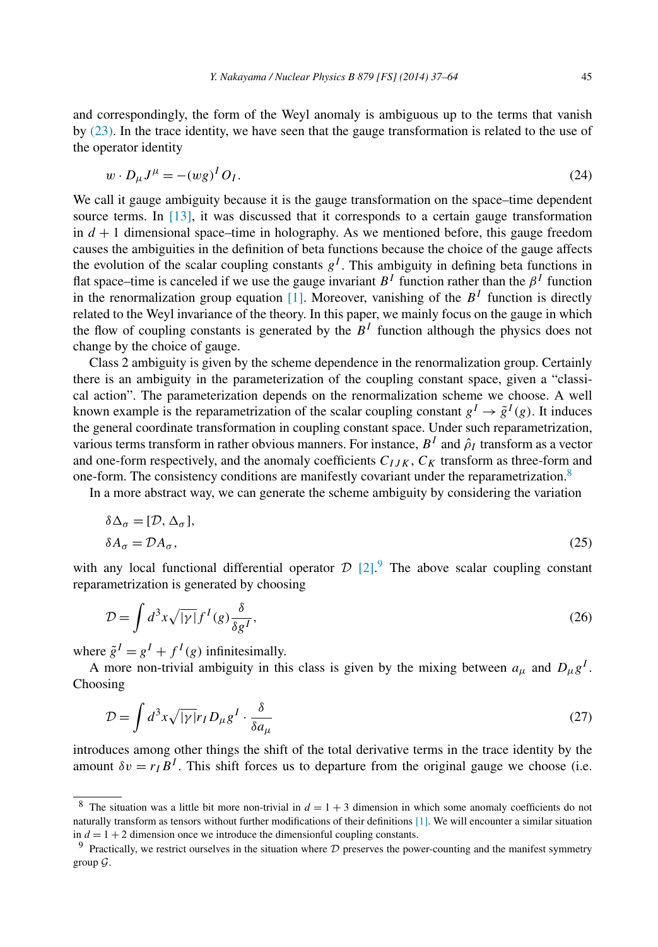<span id="page-8-0"></span>and correspondingly, the form of the Weyl anomaly is ambiguous up to the terms that vanish by [\(23\).](#page-7-0) In the trace identity, we have seen that the gauge transformation is related to the use of the operator identity

$$
w \cdot D_{\mu} J^{\mu} = -(wg)^{I} O_{I}.
$$
\n
$$
(24)
$$

We call it gauge ambiguity because it is the gauge transformation on the space–time dependent source terms. In [\[13\],](#page-27-0) it was discussed that it corresponds to a certain gauge transformation in  $d + 1$  dimensional space–time in holography. As we mentioned before, this gauge freedom causes the ambiguities in the definition of beta functions because the choice of the gauge affects the evolution of the scalar coupling constants  $g<sup>I</sup>$ . This ambiguity in defining beta functions in flat space–time is canceled if we use the gauge invariant  $B<sup>I</sup>$  function rather than the  $\beta<sup>I</sup>$  function in the renormalization group equation  $\boxed{1}$ . Moreover, vanishing of the  $B<sup>I</sup>$  function is directly related to the Weyl invariance of the theory. In this paper, we mainly focus on the gauge in which the flow of coupling constants is generated by the  $B<sup>I</sup>$  function although the physics does not change by the choice of gauge.

Class 2 ambiguity is given by the scheme dependence in the renormalization group. Certainly there is an ambiguity in the parameterization of the coupling constant space, given a "classical action". The parameterization depends on the renormalization scheme we choose. A well known example is the reparametrization of the scalar coupling constant  $g^I \rightarrow \tilde{g}^I(g)$ . It induces the general coordinate transformation in coupling constant space. Under such reparametrization, various terms transform in rather obvious manners. For instance,  $B^I$  and  $\hat{\rho}_I$  transform as a vector and one-form respectively, and the anomaly coefficients  $C_{IJK}$ ,  $C_K$  transform as three-form and one-form. The consistency conditions are manifestly covariant under the reparametrization.<sup>8</sup>

In a more abstract way, we can generate the scheme ambiguity by considering the variation

$$
\delta \Delta_{\sigma} = [\mathcal{D}, \Delta_{\sigma}],
$$
  
\n
$$
\delta A_{\sigma} = \mathcal{D} A_{\sigma},
$$
\n(25)

with any local functional differential operator  $D$  [\[2\].](#page-26-0)<sup>9</sup> The above scalar coupling constant reparametrization is generated by choosing

$$
\mathcal{D} = \int d^3x \sqrt{|\gamma|} f^I(g) \frac{\delta}{\delta g^I},\tag{26}
$$

where  $\tilde{g}^I = g^I + f^I(g)$  infinitesimally.

A more non-trivial ambiguity in this class is given by the mixing between  $a_{\mu}$  and  $D_{\mu}g^{I}$ . Choosing

$$
\mathcal{D} = \int d^3x \sqrt{|\gamma|} r_I D_\mu g^I \cdot \frac{\delta}{\delta a_\mu} \tag{27}
$$

introduces among other things the shift of the total derivative terms in the trace identity by the amount  $\delta v = r_I B^I$ . This shift forces us to departure from the original gauge we choose (i.e.

The situation was a little bit more non-trivial in  $d = 1 + 3$  dimension in which some anomaly coefficients do not naturally transform as tensors without further modifications of their definitions [\[1\].](#page-26-0) We will encounter a similar situation in  $d = 1 + 2$  dimension once we introduce the dimensionful coupling constants.

 $9$  Practically, we restrict ourselves in the situation where  $D$  preserves the power-counting and the manifest symmetry group  $\mathcal G$ .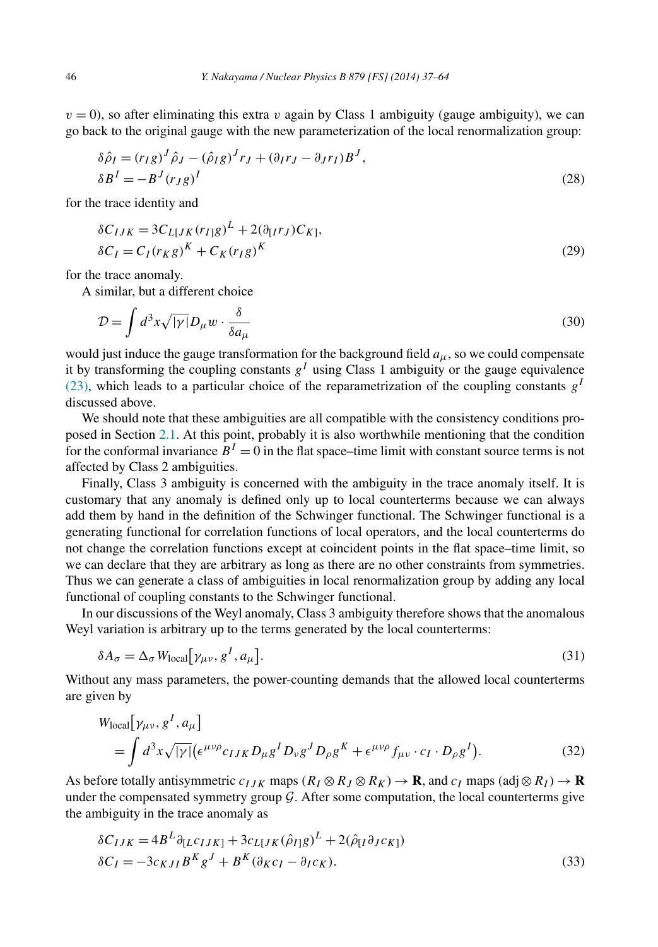<span id="page-9-0"></span> $v = 0$ ), so after eliminating this extra *v* again by Class 1 ambiguity (gauge ambiguity), we can go back to the original gauge with the new parameterization of the local renormalization group:

$$
\delta \hat{\rho}_I = (r_I g)^J \hat{\rho}_J - (\hat{\rho}_I g)^J r_J + (\partial_I r_J - \partial_J r_I) B^J,
$$
  
\n
$$
\delta B^I = -B^J (r_J g)^I
$$
\n(28)

for the trace identity and

$$
\delta C_{IJK} = 3C_{L[JK]}(r_{I]}g)^{L} + 2(\partial_{[I}r_{J})C_{K]},
$$
  
\n
$$
\delta C_{I} = C_{I}(r_{K}g)^{K} + C_{K}(r_{I}g)^{K}
$$
\n(29)

for the trace anomaly.

A similar, but a different choice

$$
\mathcal{D} = \int d^3x \sqrt{|\gamma|} D_{\mu} w \cdot \frac{\delta}{\delta a_{\mu}} \tag{30}
$$

would just induce the gauge transformation for the background field  $a_{\mu}$ , so we could compensate it by transforming the coupling constants  $g^I$  using Class 1 ambiguity or the gauge equivalence [\(23\),](#page-7-0) which leads to a particular choice of the reparametrization of the coupling constants  $g<sup>I</sup>$ discussed above.

We should note that these ambiguities are all compatible with the consistency conditions proposed in Section [2.1.](#page-6-0) At this point, probably it is also worthwhile mentioning that the condition for the conformal invariance  $B<sup>I</sup> = 0$  in the flat space–time limit with constant source terms is not affected by Class 2 ambiguities.

Finally, Class 3 ambiguity is concerned with the ambiguity in the trace anomaly itself. It is customary that any anomaly is defined only up to local counterterms because we can always add them by hand in the definition of the Schwinger functional. The Schwinger functional is a generating functional for correlation functions of local operators, and the local counterterms do not change the correlation functions except at coincident points in the flat space–time limit, so we can declare that they are arbitrary as long as there are no other constraints from symmetries. Thus we can generate a class of ambiguities in local renormalization group by adding any local functional of coupling constants to the Schwinger functional.

In our discussions of the Weyl anomaly, Class 3 ambiguity therefore shows that the anomalous Weyl variation is arbitrary up to the terms generated by the local counterterms:

$$
\delta A_{\sigma} = \Delta_{\sigma} W_{\text{local}} \big[ \gamma_{\mu\nu}, g^I, a_{\mu} \big]. \tag{31}
$$

Without any mass parameters, the power-counting demands that the allowed local counterterms are given by

$$
W_{\text{local}}[\gamma_{\mu\nu}, g^I, a_{\mu}]
$$
  
=  $\int d^3x \sqrt{|\gamma|} (\epsilon^{\mu\nu\rho} c_{IJK} D_{\mu} g^I D_{\nu} g^J D_{\rho} g^K + \epsilon^{\mu\nu\rho} f_{\mu\nu} \cdot c_I \cdot D_{\rho} g^I).$  (32)

As before totally antisymmetric  $c_{IJK}$  maps  $(R_I \otimes R_J \otimes R_K) \to \mathbf{R}$ , and  $c_I$  maps  $(\text{adj} \otimes R_I) \to \mathbf{R}$ under the compensated symmetry group  $G$ . After some computation, the local counterterms give the ambiguity in the trace anomaly as

$$
\delta C_{IJK} = 4B^L \partial_{[L} c_{IJK]} + 3c_{L[JK} (\hat{\rho}_{I]g})^L + 2(\hat{\rho}_{[I} \partial_J c_{K]})
$$
  
\n
$$
\delta C_I = -3c_{KJI} B^K g^J + B^K (\partial_K c_I - \partial_I c_K).
$$
\n(33)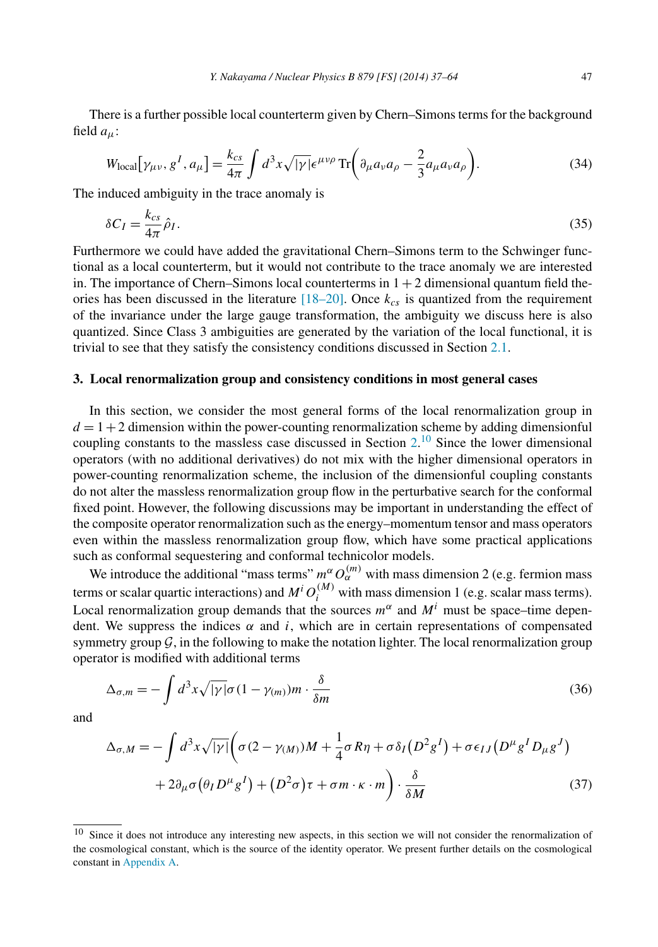<span id="page-10-0"></span>There is a further possible local counterterm given by Chern–Simons terms for the background field *aμ*:

$$
W_{\text{local}}[\gamma_{\mu\nu}, g^I, a_{\mu}] = \frac{k_{cs}}{4\pi} \int d^3x \sqrt{|\gamma|} \epsilon^{\mu\nu\rho} \operatorname{Tr} \left( \partial_{\mu} a_{\nu} a_{\rho} - \frac{2}{3} a_{\mu} a_{\nu} a_{\rho} \right). \tag{34}
$$

The induced ambiguity in the trace anomaly is

$$
\delta C_I = \frac{k_{cs}}{4\pi} \hat{\rho}_I. \tag{35}
$$

Furthermore we could have added the gravitational Chern–Simons term to the Schwinger functional as a local counterterm, but it would not contribute to the trace anomaly we are interested in. The importance of Chern–Simons local counterterms in  $1 + 2$  dimensional quantum field theories has been discussed in the literature  $[18–20]$ . Once  $k_{cs}$  is quantized from the requirement of the invariance under the large gauge transformation, the ambiguity we discuss here is also quantized. Since Class 3 ambiguities are generated by the variation of the local functional, it is trivial to see that they satisfy the consistency conditions discussed in Section [2.1.](#page-6-0)

# **3. Local renormalization group and consistency conditions in most general cases**

In this section, we consider the most general forms of the local renormalization group in  $d = 1 + 2$  dimension within the power-counting renormalization scheme by adding dimensionful coupling constants to the massless case discussed in Section  $2<sup>10</sup>$  $2<sup>10</sup>$  $2<sup>10</sup>$  Since the lower dimensional operators (with no additional derivatives) do not mix with the higher dimensional operators in power-counting renormalization scheme, the inclusion of the dimensionful coupling constants do not alter the massless renormalization group flow in the perturbative search for the conformal fixed point. However, the following discussions may be important in understanding the effect of the composite operator renormalization such as the energy–momentum tensor and mass operators even within the massless renormalization group flow, which have some practical applications such as conformal sequestering and conformal technicolor models.

We introduce the additional "mass terms"  $m^{\alpha} O_{\alpha}^{(m)}$  with mass dimension 2 (e.g. fermion mass terms or scalar quartic interactions) and  $M^i O_i^{(M)}$  with mass dimension 1 (e.g. scalar mass terms). Local renormalization group demands that the sources  $m^{\alpha}$  and  $M^i$  must be space–time dependent. We suppress the indices  $\alpha$  and *i*, which are in certain representations of compensated symmetry group  $G$ , in the following to make the notation lighter. The local renormalization group operator is modified with additional terms

$$
\Delta_{\sigma,m} = -\int d^3x \sqrt{|\gamma|} \sigma (1 - \gamma_{(m)}) m \cdot \frac{\delta}{\delta m}
$$
\n(36)

and

$$
\Delta_{\sigma,M} = -\int d^3x \sqrt{|\gamma|} \Big( \sigma (2 - \gamma_M) M + \frac{1}{4} \sigma R \eta + \sigma \delta_I (D^2 g^I) + \sigma \epsilon_{IJ} (D^\mu g^I D_\mu g^J) + 2 \partial_\mu \sigma (\theta_I D^\mu g^I) + (D^2 \sigma) \tau + \sigma m \cdot \kappa \cdot m \Big) \cdot \frac{\delta}{\delta M}
$$
\n(37)

<sup>&</sup>lt;sup>10</sup> Since it does not introduce any interesting new aspects, in this section we will not consider the renormalization of the cosmological constant, which is the source of the identity operator. We present further details on the cosmological constant in [Appendix A.](#page-24-0)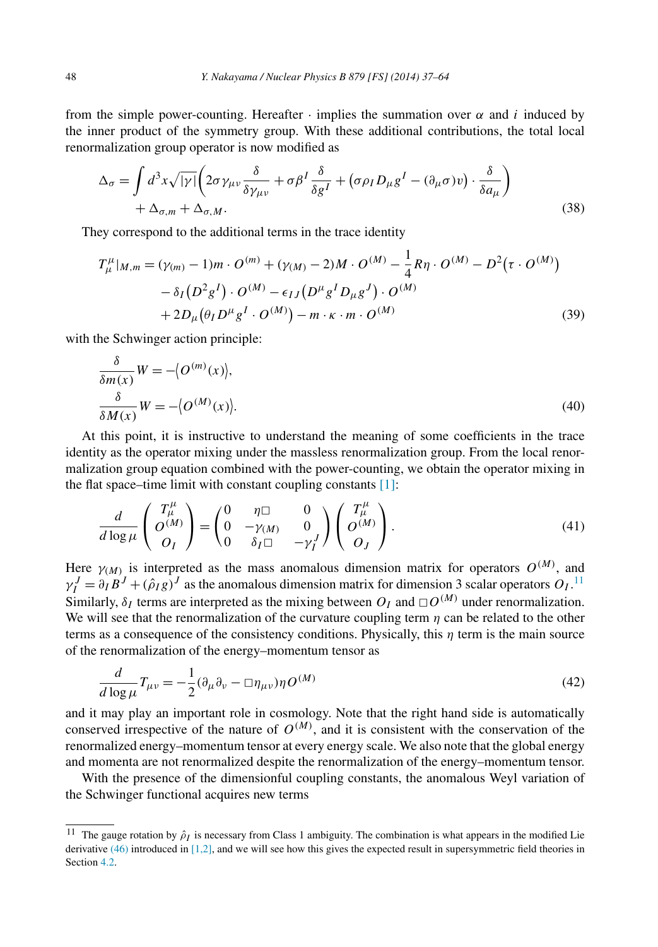<span id="page-11-0"></span>from the simple power-counting. Hereafter  $\cdot$  implies the summation over  $\alpha$  and *i* induced by the inner product of the symmetry group. With these additional contributions, the total local renormalization group operator is now modified as

$$
\Delta_{\sigma} = \int d^{3}x \sqrt{|\gamma|} \left( 2\sigma \gamma_{\mu\nu} \frac{\delta}{\delta \gamma_{\mu\nu}} + \sigma \beta^{I} \frac{\delta}{\delta g^{I}} + (\sigma \rho_{I} D_{\mu} g^{I} - (\partial_{\mu} \sigma) v) \cdot \frac{\delta}{\delta a_{\mu}} \right) + \Delta_{\sigma, m} + \Delta_{\sigma, M}.
$$
\n(38)

They correspond to the additional terms in the trace identity

$$
T^{\mu}_{\mu}|_{M,m} = (\gamma_{(m)} - 1)m \cdot O^{(m)} + (\gamma_{(M)} - 2)M \cdot O^{(M)} - \frac{1}{4}R\eta \cdot O^{(M)} - D^{2}(\tau \cdot O^{(M)}) - \delta_{I}(D^{2}g^{I}) \cdot O^{(M)} - \epsilon_{IJ}(D^{\mu}g^{I}D_{\mu}g^{J}) \cdot O^{(M)} + 2D_{\mu}(\theta_{I}D^{\mu}g^{I} \cdot O^{(M)}) - m \cdot \kappa \cdot m \cdot O^{(M)}
$$
(39)

with the Schwinger action principle:

$$
\frac{\delta}{\delta m(x)}W = -\langle O^{(m)}(x) \rangle, \frac{\delta}{\delta M(x)}W = -\langle O^{(M)}(x) \rangle.
$$
\n(40)

At this point, it is instructive to understand the meaning of some coefficients in the trace identity as the operator mixing under the massless renormalization group. From the local renormalization group equation combined with the power-counting, we obtain the operator mixing in the flat space–time limit with constant coupling constants  $[1]$ :

$$
\frac{d}{d\log\mu} \begin{pmatrix} T^{\mu}_{\mu} \\ O^{(M)} \\ O_I \end{pmatrix} = \begin{pmatrix} 0 & \eta \square & 0 \\ 0 & -\gamma_{(M)} & 0 \\ 0 & \delta_I \square & -\gamma_I^J \end{pmatrix} \begin{pmatrix} T^{\mu}_{\mu} \\ O^{(M)} \\ O_J \end{pmatrix}.
$$
\n(41)

Here  $\gamma_{(M)}$  is interpreted as the mass anomalous dimension matrix for operators  $O^{(M)}$ , and  $\gamma_I^J = \partial_I B^J + (\hat{\rho}_I g)^J$  as the anomalous dimension matrix for dimension 3 scalar operators  $O_I$ .<sup>11</sup> Similarly,  $\delta_I$  terms are interpreted as the mixing between  $O_I$  and  $\Box O^{(M)}$  under renormalization. We will see that the renormalization of the curvature coupling term  $\eta$  can be related to the other terms as a consequence of the consistency conditions. Physically, this *η* term is the main source of the renormalization of the energy–momentum tensor as

$$
\frac{d}{d\log\mu}T_{\mu\nu} = -\frac{1}{2}(\partial_{\mu}\partial_{\nu} - \Box \eta_{\mu\nu})\eta O^{(M)}\tag{42}
$$

and it may play an important role in cosmology. Note that the right hand side is automatically conserved irrespective of the nature of  $O^{(M)}$ , and it is consistent with the conservation of the renormalized energy–momentum tensor at every energy scale. We also note that the global energy and momenta are not renormalized despite the renormalization of the energy–momentum tensor.

With the presence of the dimensionful coupling constants, the anomalous Weyl variation of the Schwinger functional acquires new terms

<sup>&</sup>lt;sup>11</sup> The gauge rotation by  $\hat{\rho}_I$  is necessary from Class 1 ambiguity. The combination is what appears in the modified Lie derivative  $(46)$  introduced in [\[1,2\],](#page-26-0) and we will see how this gives the expected result in supersymmetric field theories in Section [4.2.](#page-19-0)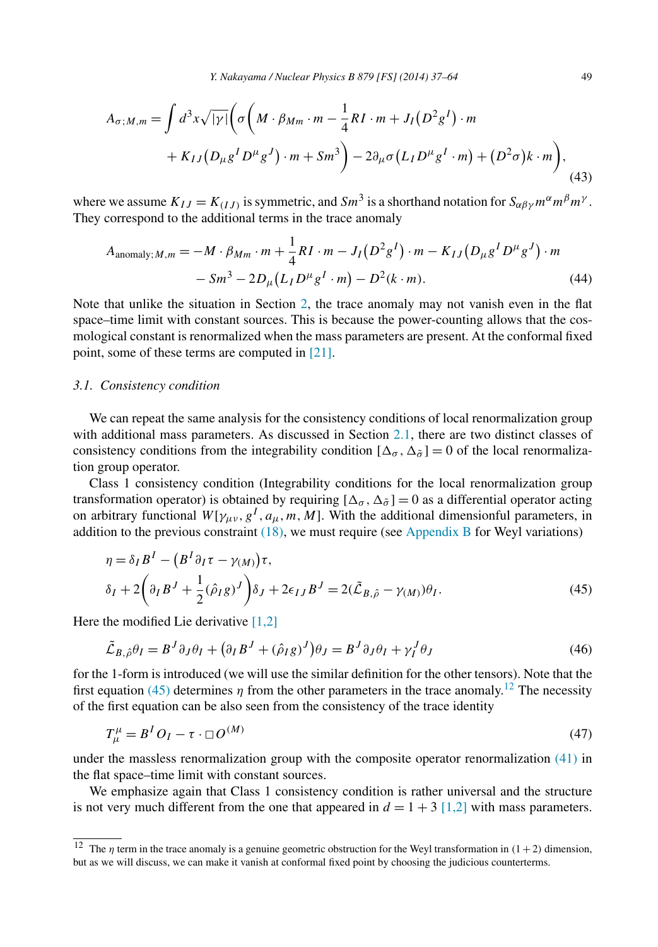<span id="page-12-0"></span>
$$
A_{\sigma;M,m} = \int d^3x \sqrt{|\gamma|} \Big( \sigma \Big( M \cdot \beta_{Mm} \cdot m - \frac{1}{4} R I \cdot m + J_I (D^2 g^I) \cdot m + K_{IJ} (D_\mu g^I D^\mu g^J) \cdot m + S m^3 \Big) - 2 \partial_\mu \sigma (L_I D^\mu g^I \cdot m) + (D^2 \sigma) k \cdot m \Big), \tag{43}
$$

where we assume  $K_{IJ} = K_{(IJ)}$  is symmetric, and  $Sm^3$  is a shorthand notation for  $S_{\alpha\beta\gamma} m^{\alpha} m^{\beta} m^{\gamma}$ . They correspond to the additional terms in the trace anomaly

$$
A_{\text{anomaly}; M, m} = -M \cdot \beta_{Mm} \cdot m + \frac{1}{4} RI \cdot m - J_I (D^2 g^I) \cdot m - K_{IJ} (D_\mu g^I D^\mu g^J) \cdot m - Sm^3 - 2D_\mu (L_I D^\mu g^I \cdot m) - D^2(k \cdot m). \tag{44}
$$

Note that unlike the situation in Section [2,](#page-2-0) the trace anomaly may not vanish even in the flat space–time limit with constant sources. This is because the power-counting allows that the cosmological constant is renormalized when the mass parameters are present. At the conformal fixed point, some of these terms are computed in [\[21\].](#page-27-0)

#### *3.1. Consistency condition*

We can repeat the same analysis for the consistency conditions of local renormalization group with additional mass parameters. As discussed in Section [2.1,](#page-6-0) there are two distinct classes of consistency conditions from the integrability condition  $[\Delta_{\sigma}, \Delta_{\tilde{\sigma}}] = 0$  of the local renormalization group operator.

Class 1 consistency condition (Integrability conditions for the local renormalization group transformation operator) is obtained by requiring  $[\Delta_{\sigma}, \Delta_{\tilde{\sigma}}] = 0$  as a differential operator acting on arbitrary functional  $W[\gamma_{\mu\nu}, g^I, a_\mu, m, M]$ . With the additional dimensionful parameters, in addition to the previous constraint  $(18)$ , we must require (see [Appendix B](#page-25-0) for Weyl variations)

$$
\eta = \delta_I B^I - (B^I \partial_I \tau - \gamma_M) \tau,
$$
  
\n
$$
\delta_I + 2 \left( \partial_I B^J + \frac{1}{2} (\hat{\rho}_I g)^J \right) \delta_J + 2 \epsilon_{IJ} B^J = 2 (\tilde{\mathcal{L}}_{B, \hat{\rho}} - \gamma_M) \theta_I.
$$
\n(45)

Here the modified Lie derivative [\[1,2\]](#page-26-0)

$$
\tilde{\mathcal{L}}_{B,\hat{\rho}}\theta_I = B^J \partial_J \theta_I + \left(\partial_I B^J + (\hat{\rho}_I g)^J\right)\theta_J = B^J \partial_J \theta_I + \gamma_I^J \theta_J \tag{46}
$$

for the 1-form is introduced (we will use the similar definition for the other tensors). Note that the first equation (45) determines *η* from the other parameters in the trace anomaly.<sup>12</sup> The necessity of the first equation can be also seen from the consistency of the trace identity

$$
T^{\mu}_{\mu} = B^I O_I - \tau \cdot \Box O^{(M)} \tag{47}
$$

under the massless renormalization group with the composite operator renormalization [\(41\)](#page-11-0) in the flat space–time limit with constant sources.

We emphasize again that Class 1 consistency condition is rather universal and the structure is not very much different from the one that appeared in  $d = 1 + 3$  [\[1,2\]](#page-26-0) with mass parameters.

<sup>&</sup>lt;sup>12</sup> The *η* term in the trace anomaly is a genuine geometric obstruction for the Weyl transformation in  $(1+2)$  dimension, but as we will discuss, we can make it vanish at conformal fixed point by choosing the judicious counterterms.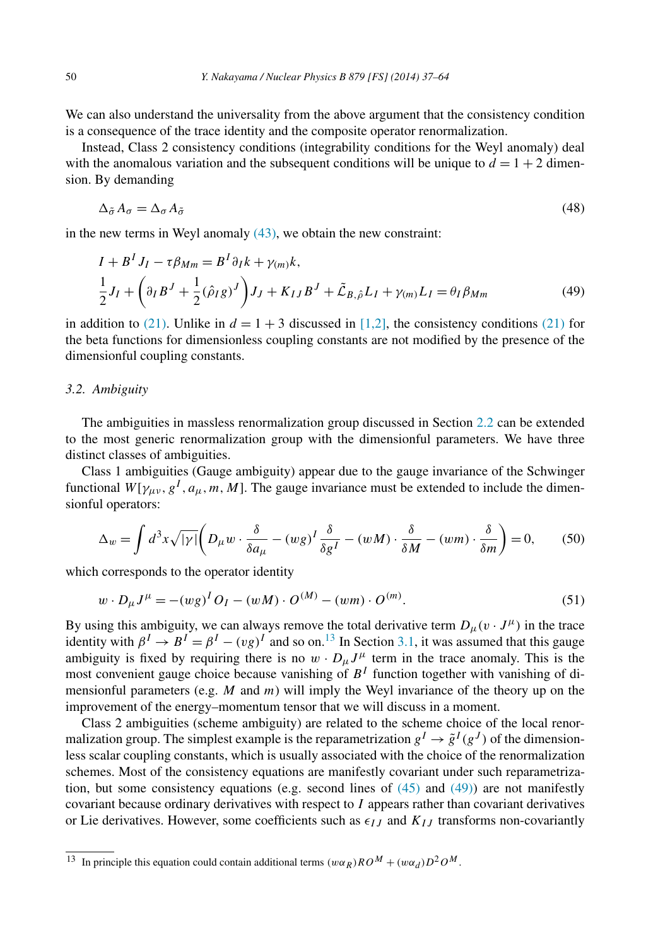We can also understand the universality from the above argument that the consistency condition is a consequence of the trace identity and the composite operator renormalization.

Instead, Class 2 consistency conditions (integrability conditions for the Weyl anomaly) deal with the anomalous variation and the subsequent conditions will be unique to  $d = 1 + 2$  dimension. By demanding

$$
\Delta_{\tilde{\sigma}} A_{\sigma} = \Delta_{\sigma} A_{\tilde{\sigma}} \tag{48}
$$

in the new terms in Weyl anomaly  $(43)$ , we obtain the new constraint:

$$
I + B^{I} J_{I} - \tau \beta_{Mm} = B^{I} \partial_{I} k + \gamma_{(m)} k,
$$
  
\n
$$
\frac{1}{2} J_{I} + \left( \partial_{I} B^{J} + \frac{1}{2} (\hat{\rho}_{I} g)^{J} \right) J_{J} + K_{IJ} B^{J} + \tilde{\mathcal{L}}_{B, \hat{\rho}} L_{I} + \gamma_{(m)} L_{I} = \theta_{I} \beta_{Mm}
$$
\n(49)

in addition to [\(21\).](#page-7-0) Unlike in  $d = 1 + 3$  discussed in [\[1,2\],](#page-26-0) the consistency conditions [\(21\)](#page-7-0) for the beta functions for dimensionless coupling constants are not modified by the presence of the dimensionful coupling constants.

## *3.2. Ambiguity*

The ambiguities in massless renormalization group discussed in Section [2.2](#page-7-0) can be extended to the most generic renormalization group with the dimensionful parameters. We have three distinct classes of ambiguities.

Class 1 ambiguities (Gauge ambiguity) appear due to the gauge invariance of the Schwinger functional  $W[\gamma_{\mu\nu}, g^I, a_\mu, m, M]$ . The gauge invariance must be extended to include the dimensionful operators:

$$
\Delta_w = \int d^3x \sqrt{|y|} \left( D_\mu w \cdot \frac{\delta}{\delta a_\mu} - (wg)^I \frac{\delta}{\delta g^I} - (wM) \cdot \frac{\delta}{\delta M} - (wm) \cdot \frac{\delta}{\delta m} \right) = 0, \quad (50)
$$

which corresponds to the operator identity

$$
w \cdot D_{\mu} J^{\mu} = -(wg)^{I} O_{I} - (wM) \cdot O^{(M)} - (wm) \cdot O^{(m)}.
$$
\n(51)

By using this ambiguity, we can always remove the total derivative term  $D_{\mu}(v \cdot J^{\mu})$  in the trace identity with  $\beta^I \rightarrow B^I = \beta^I - (vg)^I$  and so on.<sup>13</sup> In Section [3.1,](#page-12-0) it was assumed that this gauge ambiguity is fixed by requiring there is no  $w \cdot D_{\mu} J^{\mu}$  term in the trace anomaly. This is the most convenient gauge choice because vanishing of  $B<sup>I</sup>$  function together with vanishing of dimensionful parameters (e.g. *M* and *m*) will imply the Weyl invariance of the theory up on the improvement of the energy–momentum tensor that we will discuss in a moment.

Class 2 ambiguities (scheme ambiguity) are related to the scheme choice of the local renormalization group. The simplest example is the reparametrization  $g^I \rightarrow \tilde{g}^I(g^J)$  of the dimensionless scalar coupling constants, which is usually associated with the choice of the renormalization schemes. Most of the consistency equations are manifestly covariant under such reparametrization, but some consistency equations (e.g. second lines of  $(45)$  and  $(49)$ ) are not manifestly covariant because ordinary derivatives with respect to *I* appears rather than covariant derivatives or Lie derivatives. However, some coefficients such as  $\epsilon_{IJ}$  and  $K_{IJ}$  transforms non-covariantly

<sup>&</sup>lt;sup>13</sup> In principle this equation could contain additional terms  $(w\alpha_R)RO^M + (w\alpha_d)D^2OM$ .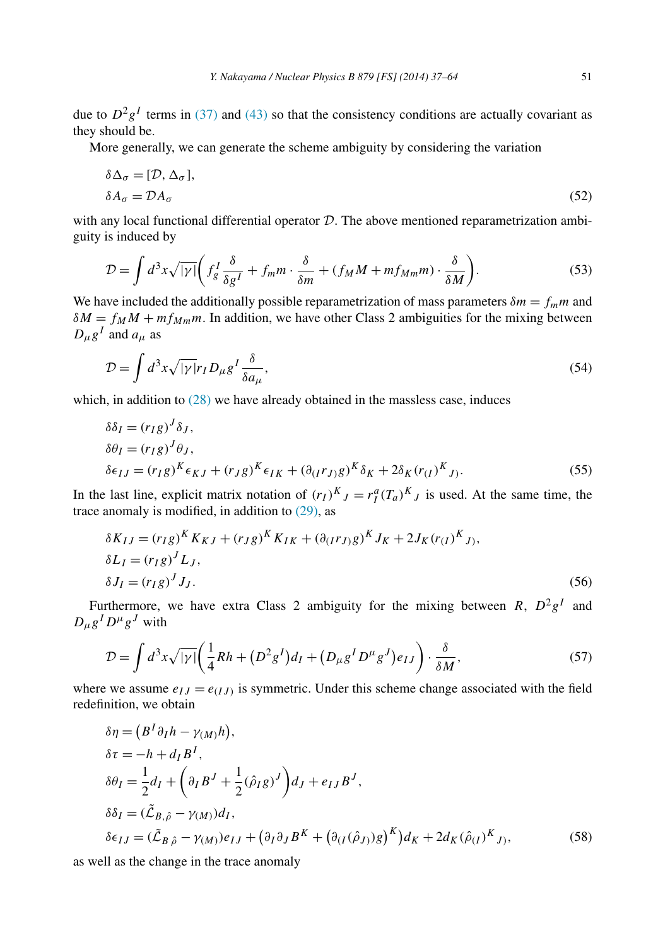due to  $D^2g^I$  terms in [\(37\)](#page-10-0) and [\(43\)](#page-12-0) so that the consistency conditions are actually covariant as they should be.

More generally, we can generate the scheme ambiguity by considering the variation

$$
\delta \Delta_{\sigma} = [\mathcal{D}, \Delta_{\sigma}],
$$
  
\n
$$
\delta A_{\sigma} = \mathcal{D} A_{\sigma}
$$
\n(52)

with any local functional differential operator  $D$ . The above mentioned reparametrization ambiguity is induced by

$$
\mathcal{D} = \int d^3x \sqrt{|y|} \bigg( f_g^I \frac{\delta}{\delta g^I} + f_m m \cdot \frac{\delta}{\delta m} + (f_M M + m f_{Mm} m) \cdot \frac{\delta}{\delta M} \bigg). \tag{53}
$$

We have included the additionally possible reparametrization of mass parameters  $\delta m = f_m m$  and  $\delta M = f_M M + m f_{Mm} m$ . In addition, we have other Class 2 ambiguities for the mixing between  $D_{\mu}g^{I}$  and  $a_{\mu}$  as

$$
\mathcal{D} = \int d^3x \sqrt{|\gamma|} r_I D_\mu g^I \frac{\delta}{\delta a_\mu},\tag{54}
$$

which, in addition to  $(28)$  we have already obtained in the massless case, induces

$$
\delta \delta_I = (r_I g)^J \delta_J,
$$
  
\n
$$
\delta \theta_I = (r_I g)^J \theta_J,
$$
  
\n
$$
\delta \epsilon_{IJ} = (r_I g)^K \epsilon_{KJ} + (r_J g)^K \epsilon_{IK} + (\partial_{(I} r_J) g)^K \delta_K + 2\delta_K (r_{(I})^K J).
$$
\n(55)

In the last line, explicit matrix notation of  $(r_I)^K J = r_I^a (T_a)^K J$  is used. At the same time, the trace anomaly is modified, in addition to  $(29)$ , as

$$
\delta K_{IJ} = (r_{I}g)^{K} K_{KJ} + (r_{J}g)^{K} K_{IK} + (\partial_{(I}r_{J)}g)^{K} J_{K} + 2J_{K}(r_{(I)}^{K} J),
$$
  
\n
$$
\delta L_{I} = (r_{I}g)^{J} L_{J},
$$
  
\n
$$
\delta J_{I} = (r_{I}g)^{J} J_{J}.
$$
\n(56)

Furthermore, we have extra Class 2 ambiguity for the mixing between *R*,  $D^2g^I$  and  $D_{\mu}g^{I}D^{\mu}g^{J}$  with

$$
\mathcal{D} = \int d^3x \sqrt{|y|} \left( \frac{1}{4}Rh + \left( D^2 g^I \right) d_I + \left( D_\mu g^I D^\mu g^J \right) e_{IJ} \right) \cdot \frac{\delta}{\delta M},\tag{57}
$$

where we assume  $e_{IJ} = e_{(IJ)}$  is symmetric. Under this scheme change associated with the field redefinition, we obtain

$$
\delta \eta = (B^I \partial_I h - \gamma_M)h),
$$
  
\n
$$
\delta \tau = -h + d_I B^I,
$$
  
\n
$$
\delta \theta_I = \frac{1}{2} d_I + \left(\partial_I B^J + \frac{1}{2} (\hat{\rho}_I g)^J\right) d_J + e_{IJ} B^J,
$$
  
\n
$$
\delta \delta_I = (\tilde{\mathcal{L}}_{B,\hat{\rho}} - \gamma_M) d_I,
$$
  
\n
$$
\delta \epsilon_{IJ} = (\tilde{\mathcal{L}}_{B,\hat{\rho}} - \gamma_M) e_{IJ} + (\partial_I \partial_J B^K + (\partial_{(I} (\hat{\rho}_J)) g)^K d_K + 2 d_K (\hat{\rho}_{(I)}^K J),
$$
\n(58)

as well as the change in the trace anomaly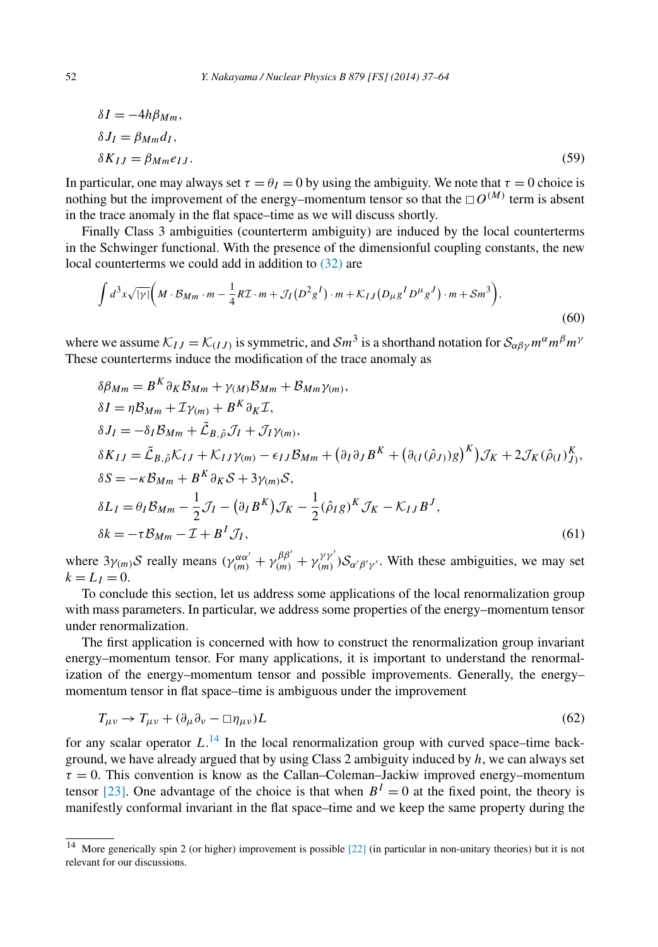<span id="page-15-0"></span>
$$
\delta I = -4h\beta_{Mm},
$$
  
\n
$$
\delta J_I = \beta_{Mm} d_I,
$$
  
\n
$$
\delta K_{IJ} = \beta_{Mm} e_{IJ}.
$$
\n(59)

In particular, one may always set  $\tau = \theta_I = 0$  by using the ambiguity. We note that  $\tau = 0$  choice is nothing but the improvement of the energy–momentum tensor so that the  $\square O^{(M)}$  term is absent in the trace anomaly in the flat space–time as we will discuss shortly.

Finally Class 3 ambiguities (counterterm ambiguity) are induced by the local counterterms in the Schwinger functional. With the presence of the dimensionful coupling constants, the new local counterterms we could add in addition to [\(32\)](#page-9-0) are

$$
\int d^3x \sqrt{|y|} \bigg( M \cdot \mathcal{B}_{Mm} \cdot m - \frac{1}{4} R \mathcal{I} \cdot m + \mathcal{J}_I (D^2 g^I) \cdot m + \mathcal{K}_{IJ} (D_\mu g^I D^\mu g^J) \cdot m + S m^3 \bigg),\tag{60}
$$

where we assume  $\mathcal{K}_{IJ} = \mathcal{K}_{(IJ)}$  is symmetric, and  $\mathcal{S}m^3$  is a shorthand notation for  $\mathcal{S}_{\alpha\beta\gamma}m^{\alpha}m^{\beta}m^{\gamma}$ These counterterms induce the modification of the trace anomaly as

$$
\delta\beta_{Mm} = B^{K} \partial_{K} \mathcal{B}_{Mm} + \gamma_{(M)} \mathcal{B}_{Mm} + \mathcal{B}_{Mm} \gamma_{(m)},
$$
  
\n
$$
\delta I = \eta \mathcal{B}_{Mm} + \mathcal{I} \gamma_{(m)} + B^{K} \partial_{K} \mathcal{I},
$$
  
\n
$$
\delta J_{I} = -\delta_{I} \mathcal{B}_{Mm} + \tilde{\mathcal{L}}_{B,\hat{\rho}} \mathcal{J}_{I} + \mathcal{J}_{I} \gamma_{(m)},
$$
  
\n
$$
\delta K_{IJ} = \tilde{\mathcal{L}}_{B,\hat{\rho}} \mathcal{K}_{IJ} + \mathcal{K}_{IJ} \gamma_{(m)} - \epsilon_{IJ} \mathcal{B}_{Mm} + (\partial_{I} \partial_{J} B^{K} + (\partial_{(I}(\hat{\rho}_{J)})g)^{K}) \mathcal{J}_{K} + 2 \mathcal{J}_{K} (\hat{\rho}_{(I)}^{K})_{J},
$$
  
\n
$$
\delta S = -\kappa \mathcal{B}_{Mm} + B^{K} \partial_{K} S + 3 \gamma_{(m)} S,
$$
  
\n
$$
\delta L_{I} = \theta_{I} \mathcal{B}_{Mm} - \frac{1}{2} \mathcal{J}_{I} - (\partial_{I} B^{K}) \mathcal{J}_{K} - \frac{1}{2} (\hat{\rho}_{I} g)^{K} \mathcal{J}_{K} - \mathcal{K}_{IJ} B^{J},
$$
  
\n
$$
\delta k = -\tau \mathcal{B}_{Mm} - \mathcal{I} + B^{I} \mathcal{J}_{I},
$$
\n(61)

where  $3\gamma_{(m)}\mathcal{S}$  really means  $(\gamma_{(m)}^{\alpha\alpha'} + \gamma_{(m)}^{\beta\beta'} + \gamma_{(m)}^{\gamma\gamma'})\mathcal{S}_{\alpha'\beta'\gamma'}$ . With these ambiguities, we may set  $k = L_I = 0.$ 

To conclude this section, let us address some applications of the local renormalization group with mass parameters. In particular, we address some properties of the energy–momentum tensor under renormalization.

The first application is concerned with how to construct the renormalization group invariant energy–momentum tensor. For many applications, it is important to understand the renormalization of the energy–momentum tensor and possible improvements. Generally, the energy– momentum tensor in flat space–time is ambiguous under the improvement

$$
T_{\mu\nu} \to T_{\mu\nu} + (\partial_{\mu}\partial_{\nu} - \Box \eta_{\mu\nu})L \tag{62}
$$

for any scalar operator *L*. <sup>14</sup> In the local renormalization group with curved space–time background, we have already argued that by using Class 2 ambiguity induced by *h*, we can always set  $\tau = 0$ . This convention is know as the Callan–Coleman–Jackiw improved energy–momentum tensor [\[23\].](#page-27-0) One advantage of the choice is that when  $B<sup>I</sup> = 0$  at the fixed point, the theory is manifestly conformal invariant in the flat space–time and we keep the same property during the

<sup>&</sup>lt;sup>14</sup> More generically spin 2 (or higher) improvement is possible  $[22]$  (in particular in non-unitary theories) but it is not relevant for our discussions.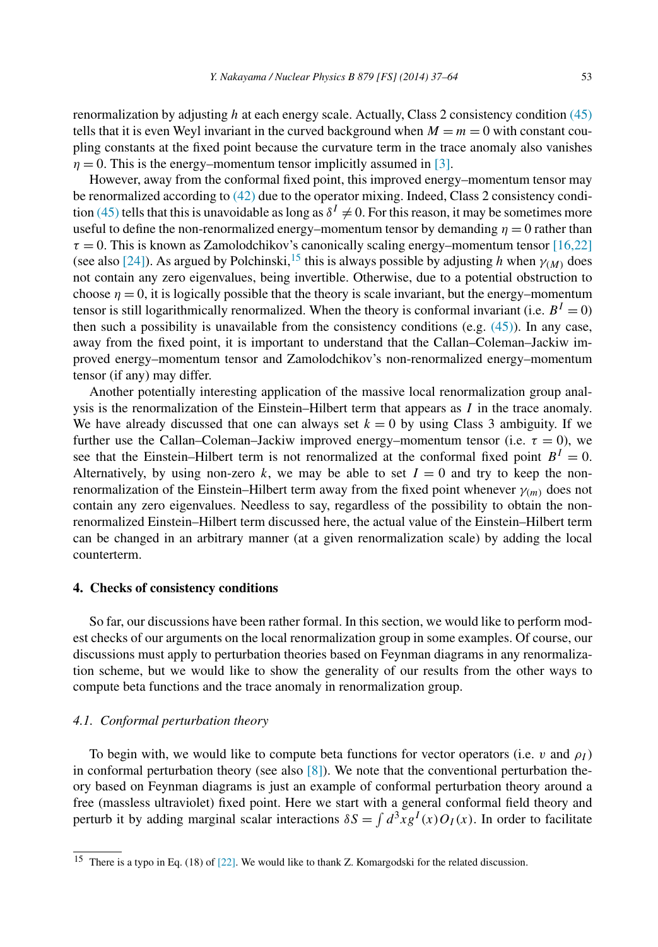<span id="page-16-0"></span>renormalization by adjusting *h* at each energy scale. Actually, Class 2 consistency condition [\(45\)](#page-12-0) tells that it is even Weyl invariant in the curved background when  $M = m = 0$  with constant coupling constants at the fixed point because the curvature term in the trace anomaly also vanishes  $\eta = 0$ . This is the energy–momentum tensor implicitly assumed in [\[3\].](#page-26-0)

However, away from the conformal fixed point, this improved energy–momentum tensor may be renormalized according to [\(42\)](#page-11-0) due to the operator mixing. Indeed, Class 2 consistency condi-tion [\(45\)](#page-12-0) tells that this is unavoidable as long as  $\delta^I \neq 0$ . For this reason, it may be sometimes more useful to define the non-renormalized energy–momentum tensor by demanding  $\eta = 0$  rather than  $\tau = 0$ . This is known as Zamolodchikov's canonically scaling energy–momentum tensor [\[16,22\]](#page-27-0) (see also [\[24\]\)](#page-27-0). As argued by Polchinski,<sup>15</sup> this is always possible by adjusting *h* when  $\gamma_M$  does not contain any zero eigenvalues, being invertible. Otherwise, due to a potential obstruction to choose  $\eta = 0$ , it is logically possible that the theory is scale invariant, but the energy–momentum tensor is still logarithmically renormalized. When the theory is conformal invariant (i.e.  $B<sup>I</sup> = 0$ ) then such a possibility is unavailable from the consistency conditions (e.g.  $(45)$ ). In any case, away from the fixed point, it is important to understand that the Callan–Coleman–Jackiw improved energy–momentum tensor and Zamolodchikov's non-renormalized energy–momentum tensor (if any) may differ.

Another potentially interesting application of the massive local renormalization group analysis is the renormalization of the Einstein–Hilbert term that appears as *I* in the trace anomaly. We have already discussed that one can always set  $k = 0$  by using Class 3 ambiguity. If we further use the Callan–Coleman–Jackiw improved energy–momentum tensor (i.e.  $\tau = 0$ ), we see that the Einstein–Hilbert term is not renormalized at the conformal fixed point  $B<sup>I</sup> = 0$ . Alternatively, by using non-zero  $k$ , we may be able to set  $I = 0$  and try to keep the nonrenormalization of the Einstein–Hilbert term away from the fixed point whenever *γ(m)* does not contain any zero eigenvalues. Needless to say, regardless of the possibility to obtain the nonrenormalized Einstein–Hilbert term discussed here, the actual value of the Einstein–Hilbert term can be changed in an arbitrary manner (at a given renormalization scale) by adding the local counterterm.

#### **4. Checks of consistency conditions**

So far, our discussions have been rather formal. In this section, we would like to perform modest checks of our arguments on the local renormalization group in some examples. Of course, our discussions must apply to perturbation theories based on Feynman diagrams in any renormalization scheme, but we would like to show the generality of our results from the other ways to compute beta functions and the trace anomaly in renormalization group.

# *4.1. Conformal perturbation theory*

To begin with, we would like to compute beta functions for vector operators (i.e. *v* and  $\rho_I$ ) in conformal perturbation theory (see also  $[8]$ ). We note that the conventional perturbation theory based on Feynman diagrams is just an example of conformal perturbation theory around a free (massless ultraviolet) fixed point. Here we start with a general conformal field theory and perturb it by adding marginal scalar interactions  $\delta S = \int d^3x g^I(x) O_I(x)$ . In order to facilitate

 $15$  There is a typo in Eq. (18) of [\[22\].](#page-27-0) We would like to thank Z. Komargodski for the related discussion.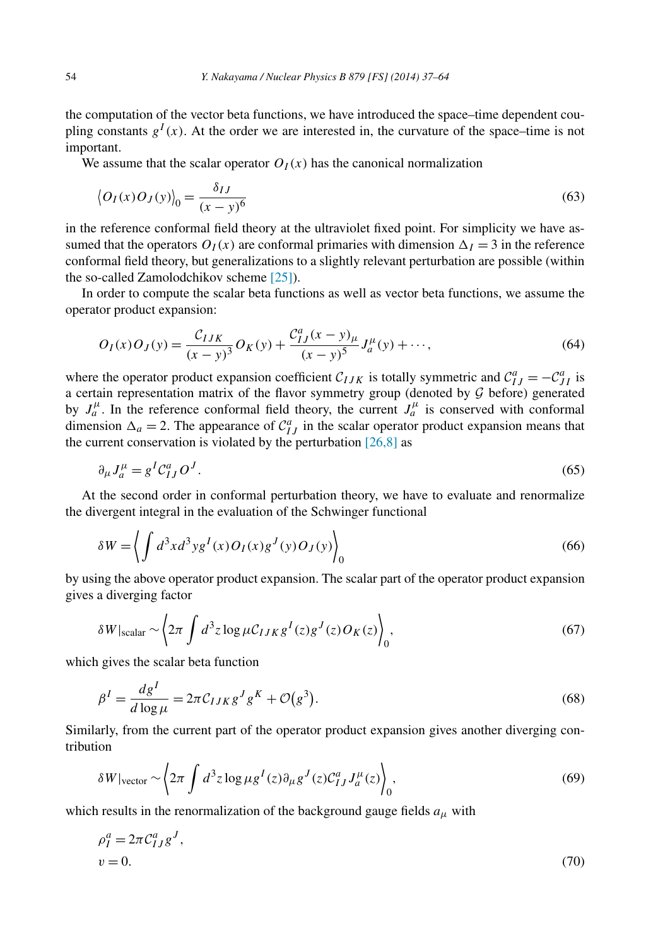<span id="page-17-0"></span>the computation of the vector beta functions, we have introduced the space–time dependent coupling constants  $g<sup>I</sup>(x)$ . At the order we are interested in, the curvature of the space–time is not important.

We assume that the scalar operator  $O_I(x)$  has the canonical normalization

$$
\left\langle O_I(x)O_J(y)\right\rangle_0 = \frac{\delta_{IJ}}{(x-y)^6}
$$
\n(63)

in the reference conformal field theory at the ultraviolet fixed point. For simplicity we have assumed that the operators  $O_I(x)$  are conformal primaries with dimension  $\Delta_I = 3$  in the reference conformal field theory, but generalizations to a slightly relevant perturbation are possible (within the so-called Zamolodchikov scheme [\[25\]\)](#page-27-0).

In order to compute the scalar beta functions as well as vector beta functions, we assume the operator product expansion:

$$
O_I(x)O_J(y) = \frac{C_{IJK}}{(x-y)^3}O_K(y) + \frac{C_{IJ}^a(x-y)_\mu}{(x-y)^5}J_a^\mu(y) + \cdots,
$$
\n(64)

where the operator product expansion coefficient  $C_{IJK}$  is totally symmetric and  $C_{IJ}^a = -C_{JI}^a$  is a certain representation matrix of the flavor symmetry group (denoted by  $G$  before) generated by  $J_a^{\mu}$ . In the reference conformal field theory, the current  $J_a^{\mu}$  is conserved with conformal dimension  $\Delta_a = 2$ . The appearance of  $C_{IJ}^a$  in the scalar operator product expansion means that the current conservation is violated by the perturbation  $[26,8]$  as

$$
\partial_{\mu}J_{a}^{\mu} = g^{I}\mathcal{C}_{IJ}^{a}O^{J}.
$$
\n
$$
(65)
$$

At the second order in conformal perturbation theory, we have to evaluate and renormalize the divergent integral in the evaluation of the Schwinger functional

$$
\delta W = \left\langle \int d^3x d^3y g^I(x) O_I(x) g^J(y) O_J(y) \right\rangle_0 \tag{66}
$$

by using the above operator product expansion. The scalar part of the operator product expansion gives a diverging factor

$$
\delta W|_{\text{scalar}} \sim \left\langle 2\pi \int d^3 z \log \mu C_{IJK} g^I(z) g^J(z) O_K(z) \right\rangle_0, \tag{67}
$$

which gives the scalar beta function

$$
\beta^I = \frac{dg^I}{d \log \mu} = 2\pi C_{IJK} g^J g^K + \mathcal{O}(g^3). \tag{68}
$$

Similarly, from the current part of the operator product expansion gives another diverging contribution

$$
\delta W|_{\text{vector}} \sim \left\langle 2\pi \int d^3 z \log \mu g^I(z) \partial_\mu g^J(z) C^a_{IJ} J_a^\mu(z) \right\rangle_0, \tag{69}
$$

which results in the renormalization of the background gauge fields  $a_{\mu}$  with

$$
\rho_I^a = 2\pi C_{IJ}^a g^J,
$$
  
\n
$$
v = 0.
$$
\n(70)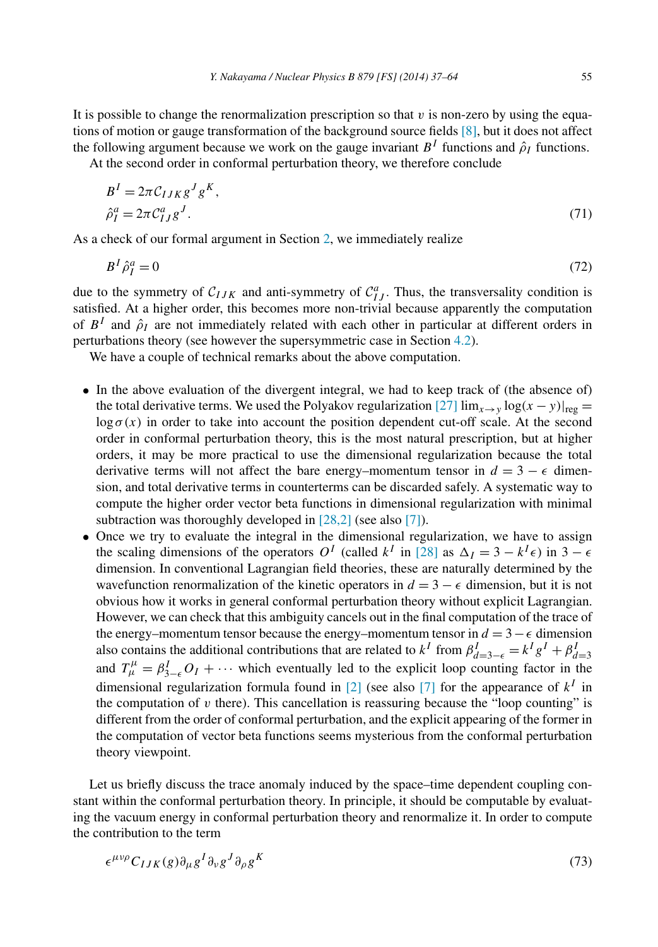It is possible to change the renormalization prescription so that  $v$  is non-zero by using the equations of motion or gauge transformation of the background source fields [\[8\],](#page-27-0) but it does not affect the following argument because we work on the gauge invariant  $B<sup>I</sup>$  functions and  $\hat{\rho}_I$  functions.

At the second order in conformal perturbation theory, we therefore conclude

$$
BI = 2\pi CIJK gJ gK,
$$
  
\n
$$
\hat{\rho}_I^a = 2\pi C_{IJ}^a gJ.
$$
\n(71)

As a check of our formal argument in Section [2,](#page-2-0) we immediately realize

$$
B^I \hat{\rho}_I^a = 0 \tag{72}
$$

due to the symmetry of  $C_{IJK}$  and anti-symmetry of  $C_{IJ}^a$ . Thus, the transversality condition is satisfied. At a higher order, this becomes more non-trivial because apparently the computation of  $B<sup>I</sup>$  and  $\hat{\rho}_I$  are not immediately related with each other in particular at different orders in perturbations theory (see however the supersymmetric case in Section [4.2\)](#page-19-0).

We have a couple of technical remarks about the above computation.

- In the above evaluation of the divergent integral, we had to keep track of (the absence of) the total derivative terms. We used the Polyakov regularization [\[27\]](#page-27-0)  $\lim_{x\to y} \log(x-y)|_{\text{reg}} =$  $\log \sigma(x)$  in order to take into account the position dependent cut-off scale. At the second order in conformal perturbation theory, this is the most natural prescription, but at higher orders, it may be more practical to use the dimensional regularization because the total derivative terms will not affect the bare energy–momentum tensor in  $d = 3 - \epsilon$  dimension, and total derivative terms in counterterms can be discarded safely. A systematic way to compute the higher order vector beta functions in dimensional regularization with minimal subtraction was thoroughly developed in [\[28,2\]](#page-27-0) (see also [\[7\]\)](#page-27-0).
- Once we try to evaluate the integral in the dimensional regularization, we have to assign the scaling dimensions of the operators  $O^I$  (called  $k^I$  in [\[28\]](#page-27-0) as  $\Delta_I = 3 - k^I \epsilon$ ) in  $3 - \epsilon$ dimension. In conventional Lagrangian field theories, these are naturally determined by the wavefunction renormalization of the kinetic operators in  $d = 3 - \epsilon$  dimension, but it is not obvious how it works in general conformal perturbation theory without explicit Lagrangian. However, we can check that this ambiguity cancels out in the final computation of the trace of the energy–momentum tensor because the energy–momentum tensor in  $d = 3 - \epsilon$  dimension also contains the additional contributions that are related to  $k^I$  from  $\beta_{d=3-\epsilon}^I = k^I g^I + \beta_{d=3}^I$ <br>and  $T_{\mu}^{\mu} = \beta_{3-\epsilon}^I O_I + \cdots$  which eventually led to the explicit loop counting factor in the dimensional regularization formula found in [\[2\]](#page-26-0) (see also [\[7\]](#page-27-0) for the appearance of  $k<sup>I</sup>$  in the computation of  $v$  there). This cancellation is reassuring because the "loop counting" is different from the order of conformal perturbation, and the explicit appearing of the former in the computation of vector beta functions seems mysterious from the conformal perturbation theory viewpoint.

Let us briefly discuss the trace anomaly induced by the space–time dependent coupling constant within the conformal perturbation theory. In principle, it should be computable by evaluating the vacuum energy in conformal perturbation theory and renormalize it. In order to compute the contribution to the term

$$
\epsilon^{\mu\nu\rho} C_{IJK}(g) \partial_{\mu} g^I \partial_{\nu} g^J \partial_{\rho} g^K \tag{73}
$$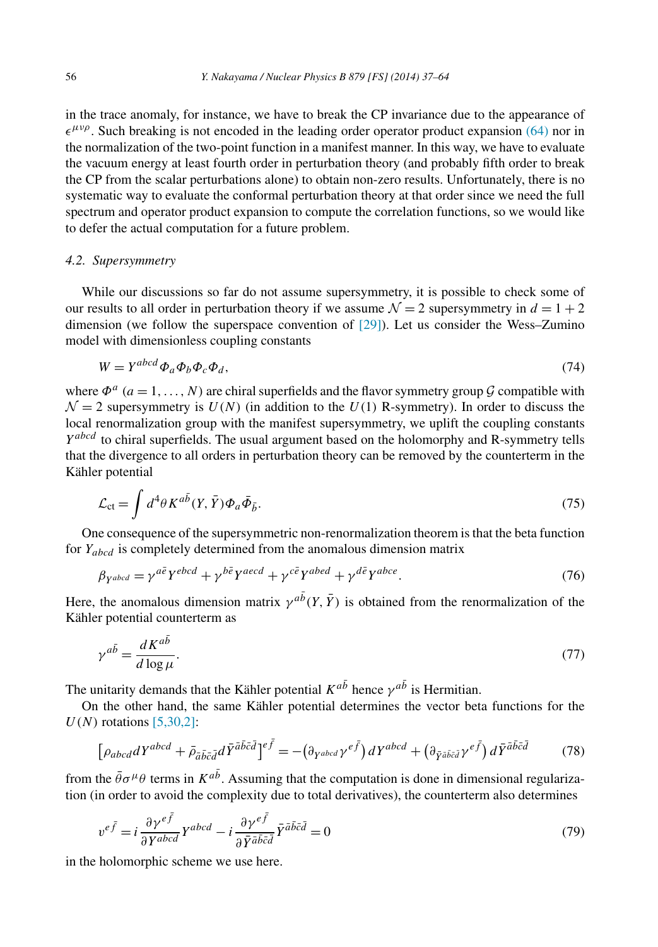<span id="page-19-0"></span>in the trace anomaly, for instance, we have to break the CP invariance due to the appearance of  $\epsilon^{\mu\nu\rho}$ . Such breaking is not encoded in the leading order operator product expansion [\(64\)](#page-17-0) nor in the normalization of the two-point function in a manifest manner. In this way, we have to evaluate the vacuum energy at least fourth order in perturbation theory (and probably fifth order to break the CP from the scalar perturbations alone) to obtain non-zero results. Unfortunately, there is no systematic way to evaluate the conformal perturbation theory at that order since we need the full spectrum and operator product expansion to compute the correlation functions, so we would like to defer the actual computation for a future problem.

# *4.2. Supersymmetry*

While our discussions so far do not assume supersymmetry, it is possible to check some of our results to all order in perturbation theory if we assume  $\mathcal{N} = 2$  supersymmetry in  $d = 1 + 2$ dimension (we follow the superspace convention of [\[29\]\)](#page-27-0). Let us consider the Wess–Zumino model with dimensionless coupling constants

$$
W = Y^{abcd} \Phi_a \Phi_b \Phi_c \Phi_d, \tag{74}
$$

where  $\Phi^a$  ( $a = 1, ..., N$ ) are chiral superfields and the flavor symmetry group  $G$  compatible with  $\mathcal{N} = 2$  supersymmetry is  $U(N)$  (in addition to the  $U(1)$  R-symmetry). In order to discuss the local renormalization group with the manifest supersymmetry, we uplift the coupling constants *Y abcd* to chiral superfields. The usual argument based on the holomorphy and R-symmetry tells that the divergence to all orders in perturbation theory can be removed by the counterterm in the Kähler potential

$$
\mathcal{L}_{\rm ct} = \int d^4 \theta K^{a\bar{b}}(Y, \bar{Y}) \Phi_a \bar{\Phi}_{\bar{b}}.
$$
\n(75)

One consequence of the supersymmetric non-renormalization theorem is that the beta function for *Yabcd* is completely determined from the anomalous dimension matrix

$$
\beta_{Yabcd} = \gamma^{a\bar{e}} Y^{ebcd} + \gamma^{b\bar{e}} Y^{aecd} + \gamma^{c\bar{e}} Y^{abed} + \gamma^{d\bar{e}} Y^{abce}.
$$
\n(76)

Here, the anomalous dimension matrix  $\gamma^{ab}(Y, \bar{Y})$  is obtained from the renormalization of the Kähler potential counterterm as

$$
\gamma^{a\bar{b}} = \frac{dK^{a\bar{b}}}{d\log\mu}.\tag{77}
$$

The unitarity demands that the Kähler potential  $K^{a\bar{b}}$  hence  $\gamma^{a\bar{b}}$  is Hermitian.

On the other hand, the same Kähler potential determines the vector beta functions for the *U(N)* rotations [\[5,30,2\]:](#page-26-0)

$$
\left[\rho_{abcd}dY^{abcd} + \bar{\rho}_{\bar{a}\bar{b}\bar{c}\bar{d}}d\bar{Y}^{\bar{a}\bar{b}\bar{c}\bar{d}}\right]^{e\bar{f}} = -\left(\partial_{Y^{abcd}}\gamma^{e\bar{f}}\right)dY^{abcd} + \left(\partial_{\bar{Y}^{\bar{a}\bar{b}\bar{c}\bar{d}}}\gamma^{e\bar{f}}\right)d\bar{Y}^{\bar{a}\bar{b}\bar{c}\bar{d}}\tag{78}
$$

from the  $\bar{\theta}\sigma^{\mu}\theta$  terms in  $K^{ab}$ . Assuming that the computation is done in dimensional regularization (in order to avoid the complexity due to total derivatives), the counterterm also determines

$$
v^{e\bar{f}} = i\frac{\partial \gamma^{e\bar{f}}}{\partial Y^{abcd}} Y^{abcd} - i\frac{\partial \gamma^{e\bar{f}}}{\partial \bar{Y}^{\bar{a}\bar{b}\bar{c}\bar{d}}} \bar{Y}^{\bar{a}\bar{b}\bar{c}\bar{d}} = 0
$$
\n(79)

in the holomorphic scheme we use here.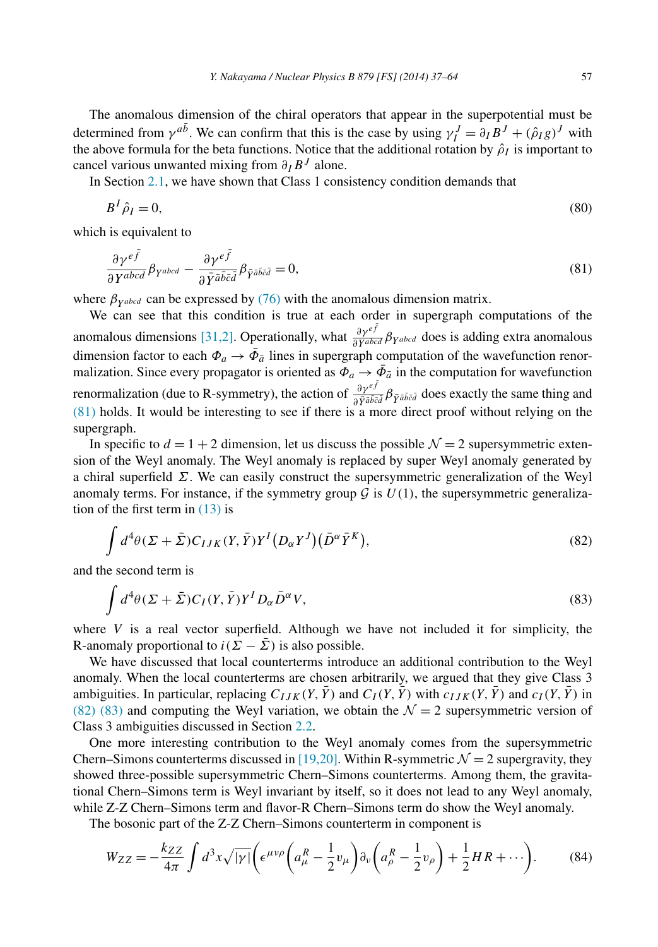The anomalous dimension of the chiral operators that appear in the superpotential must be determined from  $\gamma^{ab}$ . We can confirm that this is the case by using  $\gamma_I^J = \partial_I B^J + (\hat{\rho}_I g)^J$  with the above formula for the beta functions. Notice that the additional rotation by  $\rho_I$  is important to cancel various unwanted mixing from *∂IB<sup>J</sup>* alone.

In Section [2.1,](#page-6-0) we have shown that Class 1 consistency condition demands that

$$
B^I \hat{\rho}_I = 0,\tag{80}
$$

which is equivalent to

$$
\frac{\partial \gamma^{e\bar{f}}}{\partial Y^{abcd}} \beta_{Y^{abcd}} - \frac{\partial \gamma^{e\bar{f}}}{\partial \bar{Y}^{\bar{a}\bar{b}\bar{c}\bar{d}}} \beta_{\bar{Y}^{\bar{a}\bar{b}\bar{c}\bar{d}}} = 0, \tag{81}
$$

where  $\beta_{\gamma abcd}$  can be expressed by [\(76\)](#page-19-0) with the anomalous dimension matrix.

We can see that this condition is true at each order in supergraph computations of the anomalous dimensions [\[31,2\].](#page-27-0) Operationally, what  $\frac{\partial \gamma^{ef}}{\partial Y^{abcd}} \beta_{Y^{abcd}}$  does is adding extra anomalous dimension factor to each  $\Phi_a \rightarrow \bar{\Phi}_{\bar{a}}$  lines in supergraph computation of the wavefunction renormalization. Since every propagator is oriented as  $\Phi_a \to \bar{\Phi}_{\bar{a}}$  in the computation for wavefunction renormalization (due to R-symmetry), the action of  $\frac{\partial \gamma^{ef}}{\partial \bar{Y}^{a\bar{b}\bar{c}\bar{d}}} \beta_{\bar{Y}^{a\bar{b}\bar{c}\bar{d}}}$  does exactly the same thing and  $(81)$  holds. It would be interesting to see if there is a more direct proof without relying on the supergraph.

In specific to  $d = 1 + 2$  dimension, let us discuss the possible  $\mathcal{N} = 2$  supersymmetric extension of the Weyl anomaly. The Weyl anomaly is replaced by super Weyl anomaly generated by a chiral superfield *Σ*. We can easily construct the supersymmetric generalization of the Weyl anomaly terms. For instance, if the symmetry group  $\mathcal G$  is  $U(1)$ , the supersymmetric generalization of the first term in  $(13)$  is

$$
\int d^4\theta (\Sigma + \bar{\Sigma}) C_{IJK}(Y, \bar{Y}) Y^I (D_\alpha Y^J) (\bar{D}^\alpha \bar{Y}^K), \tag{82}
$$

and the second term is

$$
\int d^4\theta (\Sigma + \bar{\Sigma}) C_I(Y, \bar{Y}) Y^I D_\alpha \bar{D}^\alpha V, \tag{83}
$$

where  $V$  is a real vector superfield. Although we have not included it for simplicity, the R-anomaly proportional to  $i(\Sigma - \overline{\Sigma})$  is also possible.

We have discussed that local counterterms introduce an additional contribution to the Weyl anomaly. When the local counterterms are chosen arbitrarily, we argued that they give Class 3 ambiguities. In particular, replacing  $C_{IJK}(Y, \bar{Y})$  and  $C_I(Y, \bar{Y})$  with  $c_{IJK}(Y, \bar{Y})$  and  $c_I(Y, \bar{Y})$  in (82) (83) and computing the Weyl variation, we obtain the  $\mathcal{N} = 2$  supersymmetric version of Class 3 ambiguities discussed in Section [2.2.](#page-7-0)

One more interesting contribution to the Weyl anomaly comes from the supersymmetric Chern–Simons counterterms discussed in [\[19,20\].](#page-27-0) Within R-symmetric  $\mathcal{N} = 2$  supergravity, they showed three-possible supersymmetric Chern–Simons counterterms. Among them, the gravitational Chern–Simons term is Weyl invariant by itself, so it does not lead to any Weyl anomaly, while Z-Z Chern–Simons term and flavor-R Chern–Simons term do show the Weyl anomaly.

The bosonic part of the Z-Z Chern–Simons counterterm in component is

$$
W_{ZZ} = -\frac{k_{ZZ}}{4\pi} \int d^3x \sqrt{|\gamma|} \left( \epsilon^{\mu\nu\rho} \left( a_\mu^R - \frac{1}{2} v_\mu \right) \partial_\nu \left( a_\rho^R - \frac{1}{2} v_\rho \right) + \frac{1}{2} H R + \cdots \right). \tag{84}
$$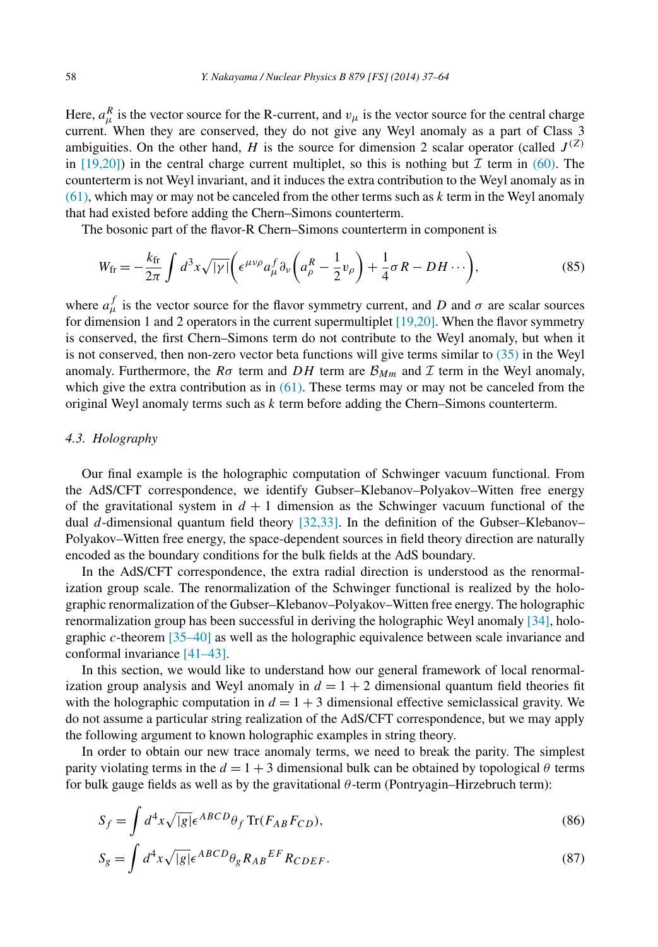Here,  $a_{\mu}^{R}$  is the vector source for the R-current, and  $v_{\mu}$  is the vector source for the central charge current. When they are conserved, they do not give any Weyl anomaly as a part of Class 3 ambiguities. On the other hand, *H* is the source for dimension 2 scalar operator (called  $J^{(Z)}$ in  $[19,20]$ ) in the central charge current multiplet, so this is nothing but  $\mathcal I$  term in [\(60\).](#page-15-0) The counterterm is not Weyl invariant, and it induces the extra contribution to the Weyl anomaly as in [\(61\),](#page-15-0) which may or may not be canceled from the other terms such as *k* term in the Weyl anomaly that had existed before adding the Chern–Simons counterterm.

The bosonic part of the flavor-R Chern–Simons counterterm in component is

$$
W_{\rm fr} = -\frac{k_{\rm fr}}{2\pi} \int d^3x \sqrt{|\gamma|} \bigg( \epsilon^{\mu\nu\rho} a^f_\mu \partial_\nu \bigg( a^R_\rho - \frac{1}{2} v_\rho \bigg) + \frac{1}{4} \sigma R - DH \cdots \bigg),\tag{85}
$$

where  $a_{\mu}^{f}$  is the vector source for the flavor symmetry current, and *D* and  $\sigma$  are scalar sources for dimension 1 and 2 operators in the current supermultiplet  $[19,20]$ . When the flavor symmetry is conserved, the first Chern–Simons term do not contribute to the Weyl anomaly, but when it is not conserved, then non-zero vector beta functions will give terms similar to [\(35\)](#page-10-0) in the Weyl anomaly. Furthermore, the  $R\sigma$  term and  $DH$  term are  $\mathcal{B}_{Mm}$  and  $\mathcal I$  term in the Weyl anomaly, which give the extra contribution as in  $(61)$ . These terms may or may not be canceled from the original Weyl anomaly terms such as *k* term before adding the Chern–Simons counterterm.

## *4.3. Holography*

Our final example is the holographic computation of Schwinger vacuum functional. From the AdS/CFT correspondence, we identify Gubser–Klebanov–Polyakov–Witten free energy of the gravitational system in  $d + 1$  dimension as the Schwinger vacuum functional of the dual *d*-dimensional quantum field theory [\[32,33\].](#page-27-0) In the definition of the Gubser–Klebanov– Polyakov–Witten free energy, the space-dependent sources in field theory direction are naturally encoded as the boundary conditions for the bulk fields at the AdS boundary.

In the AdS/CFT correspondence, the extra radial direction is understood as the renormalization group scale. The renormalization of the Schwinger functional is realized by the holographic renormalization of the Gubser–Klebanov–Polyakov–Witten free energy. The holographic renormalization group has been successful in deriving the holographic Weyl anomaly [\[34\],](#page-27-0) holographic *c*-theorem [\[35–40\]](#page-27-0) as well as the holographic equivalence between scale invariance and conformal invariance [\[41–43\].](#page-27-0)

In this section, we would like to understand how our general framework of local renormalization group analysis and Weyl anomaly in  $d = 1 + 2$  dimensional quantum field theories fit with the holographic computation in  $d = 1 + 3$  dimensional effective semiclassical gravity. We do not assume a particular string realization of the AdS/CFT correspondence, but we may apply the following argument to known holographic examples in string theory.

In order to obtain our new trace anomaly terms, we need to break the parity. The simplest parity violating terms in the  $d = 1 + 3$  dimensional bulk can be obtained by topological  $\theta$  terms for bulk gauge fields as well as by the gravitational *θ* -term (Pontryagin–Hirzebruch term):

$$
S_f = \int d^4x \sqrt{|g|} \epsilon^{ABCD} \theta_f \operatorname{Tr}(F_{AB} F_{CD}), \tag{86}
$$

$$
S_g = \int d^4x \sqrt{|g|} \epsilon^{ABCD} \theta_g R_{AB}{}^{EF} R_{CDEF}.
$$
 (87)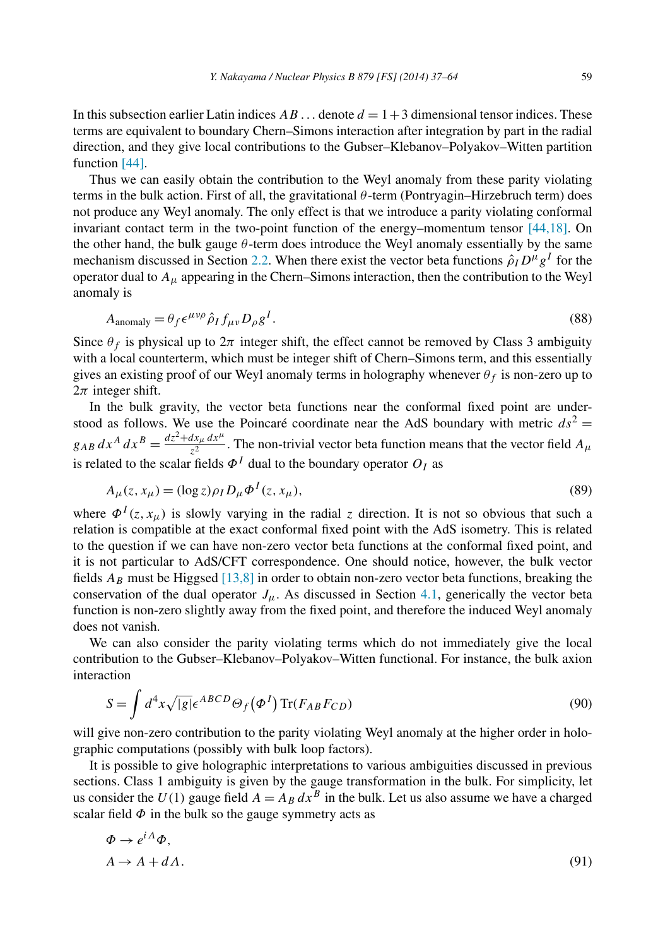In this subsection earlier Latin indices  $AB \dots$  denote  $d = 1+3$  dimensional tensor indices. These terms are equivalent to boundary Chern–Simons interaction after integration by part in the radial direction, and they give local contributions to the Gubser–Klebanov–Polyakov–Witten partition function [\[44\].](#page-27-0)

Thus we can easily obtain the contribution to the Weyl anomaly from these parity violating terms in the bulk action. First of all, the gravitational *θ* -term (Pontryagin–Hirzebruch term) does not produce any Weyl anomaly. The only effect is that we introduce a parity violating conformal invariant contact term in the two-point function of the energy–momentum tensor [\[44,18\].](#page-27-0) On the other hand, the bulk gauge  $\theta$ -term does introduce the Weyl anomaly essentially by the same mechanism discussed in Section [2.2.](#page-7-0) When there exist the vector beta functions  $\hat{\rho}_I D^\mu g^I$  for the operator dual to *Aμ* appearing in the Chern–Simons interaction, then the contribution to the Weyl anomaly is

$$
A_{\text{anomaly}} = \theta_f \epsilon^{\mu\nu\rho} \hat{\rho}_I f_{\mu\nu} D_\rho g^I. \tag{88}
$$

Since  $\theta_f$  is physical up to  $2\pi$  integer shift, the effect cannot be removed by Class 3 ambiguity with a local counterterm, which must be integer shift of Chern–Simons term, and this essentially gives an existing proof of our Weyl anomaly terms in holography whenever  $\theta_f$  is non-zero up to  $2\pi$  integer shift.

In the bulk gravity, the vector beta functions near the conformal fixed point are understood as follows. We use the Poincaré coordinate near the AdS boundary with metric  $ds^2 =$  $g_{AB} dx^A dx^B = \frac{dz^2 + dx_\mu dx^\mu}{z^2}$ . The non-trivial vector beta function means that the vector field  $A_\mu$ is related to the scalar fields  $\Phi^I$  dual to the boundary operator  $O_I$  as

$$
A_{\mu}(z, x_{\mu}) = (\log z) \rho_I D_{\mu} \Phi^I(z, x_{\mu}), \qquad (89)
$$

where  $\Phi^{I}(z, x_{\mu})$  is slowly varying in the radial *z* direction. It is not so obvious that such a relation is compatible at the exact conformal fixed point with the AdS isometry. This is related to the question if we can have non-zero vector beta functions at the conformal fixed point, and it is not particular to AdS/CFT correspondence. One should notice, however, the bulk vector fields  $A_B$  must be Higgsed  $[13,8]$  in order to obtain non-zero vector beta functions, breaking the conservation of the dual operator  $J_\mu$ . As discussed in Section [4.1,](#page-16-0) generically the vector beta function is non-zero slightly away from the fixed point, and therefore the induced Weyl anomaly does not vanish.

We can also consider the parity violating terms which do not immediately give the local contribution to the Gubser–Klebanov–Polyakov–Witten functional. For instance, the bulk axion interaction

$$
S = \int d^4x \sqrt{|g|} \epsilon^{ABCD} \Theta_f(\Phi^I) \operatorname{Tr}(F_{AB} F_{CD})
$$
\n(90)

will give non-zero contribution to the parity violating Weyl anomaly at the higher order in holographic computations (possibly with bulk loop factors).

It is possible to give holographic interpretations to various ambiguities discussed in previous sections. Class 1 ambiguity is given by the gauge transformation in the bulk. For simplicity, let us consider the  $U(1)$  gauge field  $A = A_B dx^B$  in the bulk. Let us also assume we have a charged scalar field  $\Phi$  in the bulk so the gauge symmetry acts as

$$
\Phi \to e^{i\Lambda} \Phi,
$$
  
\n
$$
A \to A + d\Lambda.
$$
\n(91)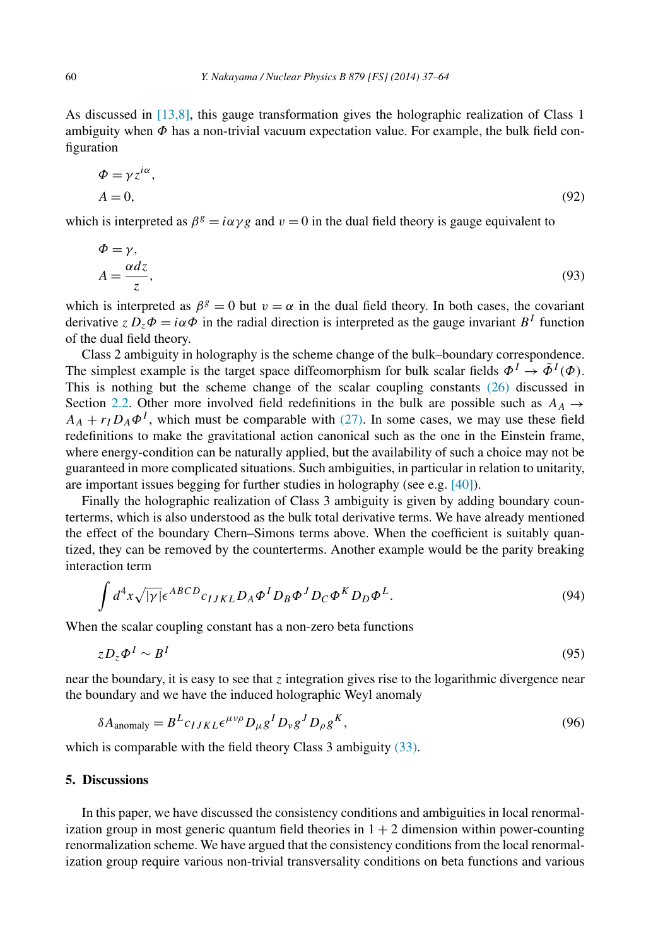<span id="page-23-0"></span>As discussed in [\[13,8\],](#page-27-0) this gauge transformation gives the holographic realization of Class 1 ambiguity when *Φ* has a non-trivial vacuum expectation value. For example, the bulk field configuration

$$
\Phi = \gamma z^{i\alpha}, \nA = 0,
$$
\n(92)

which is interpreted as  $\beta^g = i\alpha \gamma g$  and  $v = 0$  in the dual field theory is gauge equivalent to

$$
\Phi = \gamma, \nA = \frac{\alpha dz}{z},
$$
\n(93)

which is interpreted as  $\beta^g = 0$  but  $v = \alpha$  in the dual field theory. In both cases, the covariant derivative  $z D_z \Phi = i \alpha \Phi$  in the radial direction is interpreted as the gauge invariant  $B<sup>I</sup>$  function of the dual field theory.

Class 2 ambiguity in holography is the scheme change of the bulk–boundary correspondence. The simplest example is the target space diffeomorphism for bulk scalar fields  $\Phi^I \to \tilde{\Phi}^I(\Phi)$ . This is nothing but the scheme change of the scalar coupling constants [\(26\)](#page-8-0) discussed in Section [2.2.](#page-7-0) Other more involved field redefinitions in the bulk are possible such as  $A_A \rightarrow$  $A_A + r_I D_A \Phi^I$ , which must be comparable with [\(27\).](#page-8-0) In some cases, we may use these field redefinitions to make the gravitational action canonical such as the one in the Einstein frame, where energy-condition can be naturally applied, but the availability of such a choice may not be guaranteed in more complicated situations. Such ambiguities, in particular in relation to unitarity, are important issues begging for further studies in holography (see e.g. [\[40\]\)](#page-27-0).

Finally the holographic realization of Class 3 ambiguity is given by adding boundary counterterms, which is also understood as the bulk total derivative terms. We have already mentioned the effect of the boundary Chern–Simons terms above. When the coefficient is suitably quantized, they can be removed by the counterterms. Another example would be the parity breaking interaction term

$$
\int d^4x \sqrt{|\gamma|} \epsilon^{ABCD} c_{IJKL} D_A \Phi^I D_B \Phi^J D_C \Phi^K D_D \Phi^L. \tag{94}
$$

When the scalar coupling constant has a non-zero beta functions

$$
zD_z\Phi^I \sim B^I \tag{95}
$$

near the boundary, it is easy to see that *z* integration gives rise to the logarithmic divergence near the boundary and we have the induced holographic Weyl anomaly

$$
\delta A_{\text{anomaly}} = B^L c_{IJKL} \epsilon^{\mu\nu\rho} D_{\mu} g^I D_{\nu} g^J D_{\rho} g^K,
$$
\n(96)

which is comparable with the field theory Class 3 ambiguity [\(33\).](#page-9-0)

# **5. Discussions**

In this paper, we have discussed the consistency conditions and ambiguities in local renormalization group in most generic quantum field theories in  $1 + 2$  dimension within power-counting renormalization scheme. We have argued that the consistency conditions from the local renormalization group require various non-trivial transversality conditions on beta functions and various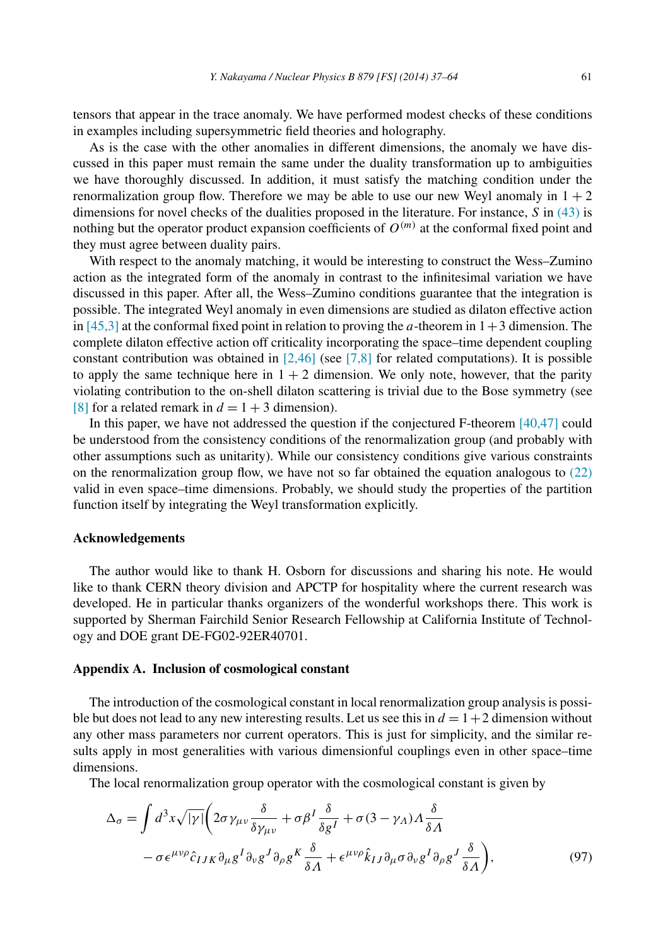<span id="page-24-0"></span>tensors that appear in the trace anomaly. We have performed modest checks of these conditions in examples including supersymmetric field theories and holography.

As is the case with the other anomalies in different dimensions, the anomaly we have discussed in this paper must remain the same under the duality transformation up to ambiguities we have thoroughly discussed. In addition, it must satisfy the matching condition under the renormalization group flow. Therefore we may be able to use our new Weyl anomaly in  $1 + 2$ dimensions for novel checks of the dualities proposed in the literature. For instance, *S* in [\(43\)](#page-12-0) is nothing but the operator product expansion coefficients of  $O^{(m)}$  at the conformal fixed point and they must agree between duality pairs.

With respect to the anomaly matching, it would be interesting to construct the Wess–Zumino action as the integrated form of the anomaly in contrast to the infinitesimal variation we have discussed in this paper. After all, the Wess–Zumino conditions guarantee that the integration is possible. The integrated Weyl anomaly in even dimensions are studied as dilaton effective action in  $[45,3]$  at the conformal fixed point in relation to proving the *a*-theorem in  $1+3$  dimension. The complete dilaton effective action off criticality incorporating the space–time dependent coupling constant contribution was obtained in  $[2,46]$  (see  $[7,8]$  for related computations). It is possible to apply the same technique here in  $1 + 2$  dimension. We only note, however, that the parity violating contribution to the on-shell dilaton scattering is trivial due to the Bose symmetry (see [\[8\]](#page-27-0) for a related remark in  $d = 1 + 3$  dimension).

In this paper, we have not addressed the question if the conjectured F-theorem [\[40,47\]](#page-27-0) could be understood from the consistency conditions of the renormalization group (and probably with other assumptions such as unitarity). While our consistency conditions give various constraints on the renormalization group flow, we have not so far obtained the equation analogous to [\(22\)](#page-7-0) valid in even space–time dimensions. Probably, we should study the properties of the partition function itself by integrating the Weyl transformation explicitly.

#### **Acknowledgements**

The author would like to thank H. Osborn for discussions and sharing his note. He would like to thank CERN theory division and APCTP for hospitality where the current research was developed. He in particular thanks organizers of the wonderful workshops there. This work is supported by Sherman Fairchild Senior Research Fellowship at California Institute of Technology and DOE grant DE-FG02-92ER40701.

#### **Appendix A. Inclusion of cosmological constant**

The introduction of the cosmological constant in local renormalization group analysis is possible but does not lead to any new interesting results. Let us see this in  $d = 1 + 2$  dimension without any other mass parameters nor current operators. This is just for simplicity, and the similar results apply in most generalities with various dimensionful couplings even in other space–time dimensions.

The local renormalization group operator with the cosmological constant is given by

$$
\Delta_{\sigma} = \int d^{3}x \sqrt{|\gamma|} \left( 2\sigma \gamma_{\mu\nu} \frac{\delta}{\delta \gamma_{\mu\nu}} + \sigma \beta^{I} \frac{\delta}{\delta g^{I}} + \sigma (3 - \gamma_{A}) A \frac{\delta}{\delta A} \right. \n- \sigma \epsilon^{\mu\nu\rho} \hat{c}_{IJK} \partial_{\mu} g^{I} \partial_{\nu} g^{J} \partial_{\rho} g^{K} \frac{\delta}{\delta A} + \epsilon^{\mu\nu\rho} \hat{k}_{IJ} \partial_{\mu} \sigma \partial_{\nu} g^{I} \partial_{\rho} g^{J} \frac{\delta}{\delta A} \right),
$$
\n(97)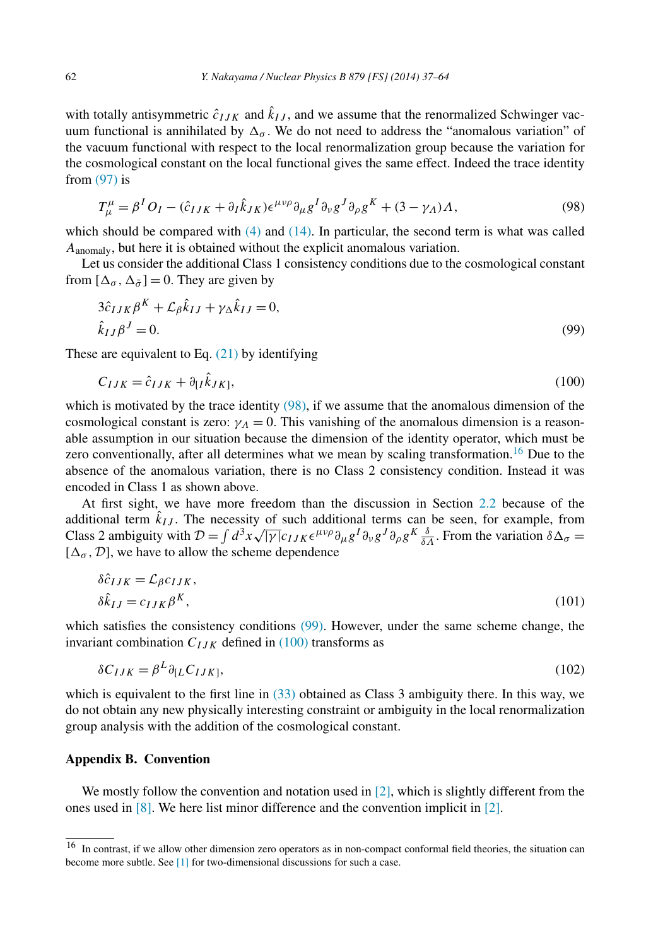<span id="page-25-0"></span>with totally antisymmetric  $\hat{c}_{IJK}$  and  $k_{IJ}$ , and we assume that the renormalized Schwinger vacuum functional is annihilated by  $\Delta_{\sigma}$ . We do not need to address the "anomalous variation" of the vacuum functional with respect to the local renormalization group because the variation for the cosmological constant on the local functional gives the same effect. Indeed the trace identity from  $(97)$  is

$$
T^{\mu}_{\mu} = \beta^{I} O_{I} - (\hat{c}_{IJK} + \partial_{I} \hat{k}_{JK}) \epsilon^{\mu\nu\rho} \partial_{\mu} g^{I} \partial_{\nu} g^{J} \partial_{\rho} g^{K} + (3 - \gamma_{A}) \Lambda, \tag{98}
$$

which should be compared with  $(4)$  and  $(14)$ . In particular, the second term is what was called *A*anomaly, but here it is obtained without the explicit anomalous variation.

Let us consider the additional Class 1 consistency conditions due to the cosmological constant from  $[\Delta_{\sigma}, \Delta_{\tilde{\sigma}}] = 0$ . They are given by

$$
3\hat{c}_{IJK}\beta^K + \mathcal{L}_{\beta}\hat{k}_{IJ} + \gamma_{\Delta}\hat{k}_{IJ} = 0,
$$
  
\n
$$
\hat{k}_{IJ}\beta^J = 0.
$$
\n(99)

These are equivalent to Eq.  $(21)$  by identifying

$$
C_{IJK} = \hat{c}_{IJK} + \partial_{[I}k_{JK]},\tag{100}
$$

which is motivated by the trace identity  $(98)$ , if we assume that the anomalous dimension of the cosmological constant is zero:  $\gamma_A = 0$ . This vanishing of the anomalous dimension is a reasonable assumption in our situation because the dimension of the identity operator, which must be zero conventionally, after all determines what we mean by scaling transformation.<sup>16</sup> Due to the absence of the anomalous variation, there is no Class 2 consistency condition. Instead it was encoded in Class 1 as shown above.

At first sight, we have more freedom than the discussion in Section [2.2](#page-7-0) because of the additional term  $k_{IJ}$ . The necessity of such additional terms can be seen, for example, from Class 2 ambiguity with  $\mathcal{D} = \int d^3x \sqrt{|\gamma|} c_{IJK} \epsilon^{\mu\nu\rho} \partial_\mu g^I \partial_\nu g^J \partial_\rho g^K \frac{\delta}{\delta \Lambda}$ . From the variation  $\delta \Delta_\sigma =$  $[\Delta_{\sigma}, \mathcal{D}]$ , we have to allow the scheme dependence

$$
\delta \hat{c}_{IJK} = \mathcal{L}_{\beta} c_{IJK},
$$
  
\n
$$
\delta \hat{k}_{IJ} = c_{IJK} \beta^K,
$$
\n(101)

which satisfies the consistency conditions (99). However, under the same scheme change, the invariant combination  $C_{IJK}$  defined in (100) transforms as

$$
\delta C_{IJK} = \beta^L \partial_{[L} C_{IJK]},\tag{102}
$$

which is equivalent to the first line in  $(33)$  obtained as Class 3 ambiguity there. In this way, we do not obtain any new physically interesting constraint or ambiguity in the local renormalization group analysis with the addition of the cosmological constant.

## **Appendix B. Convention**

We mostly follow the convention and notation used in  $[2]$ , which is slightly different from the ones used in [\[8\].](#page-27-0) We here list minor difference and the convention implicit in [\[2\].](#page-26-0)

<sup>&</sup>lt;sup>16</sup> In contrast, if we allow other dimension zero operators as in non-compact conformal field theories, the situation can become more subtle. See [\[1\]](#page-26-0) for two-dimensional discussions for such a case.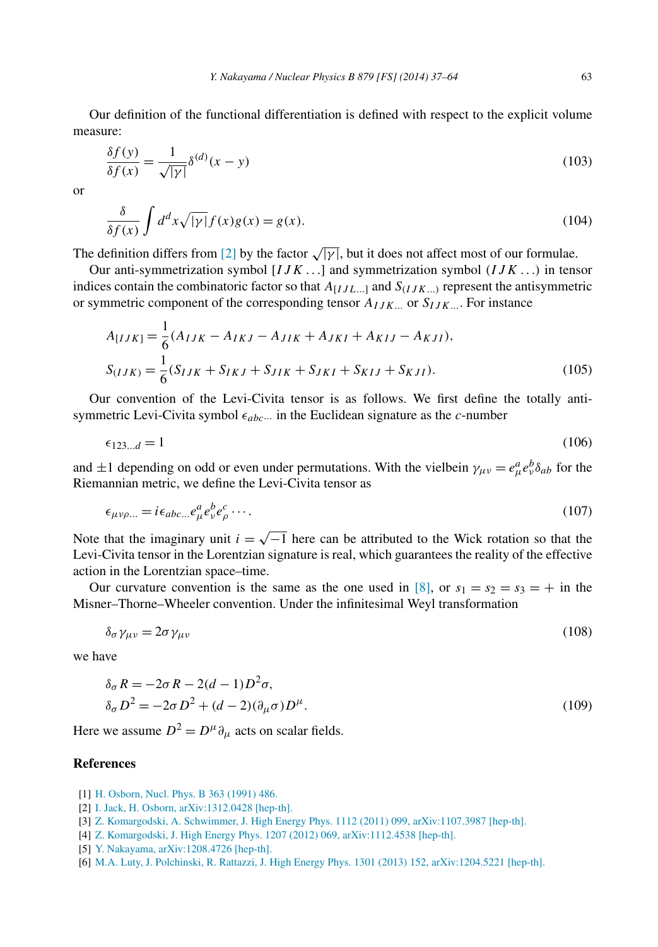<span id="page-26-0"></span>Our definition of the functional differentiation is defined with respect to the explicit volume measure:

$$
\frac{\delta f(y)}{\delta f(x)} = \frac{1}{\sqrt{|y|}} \delta^{(d)}(x - y)
$$
\n(103)

or

$$
\frac{\delta}{\delta f(x)} \int d^d x \sqrt{|\gamma|} f(x) g(x) = g(x). \tag{104}
$$

The definition differs from [2] by the factor  $\sqrt{|y|}$ , but it does not affect most of our formulae.

Our anti-symmetrization symbol [*IJK...*] and symmetrization symbol *(IJK ...)* in tensor indices contain the combinatoric factor so that *A*[*IJL...*] and *S(IJK...)* represent the antisymmetric or symmetric component of the corresponding tensor  $A_{IJK}$  or  $S_{IJK}$ ... For instance

$$
A_{[IJK]} = \frac{1}{6}(A_{IJK} - A_{IKJ} - A_{JIK} + A_{JKI} + A_{KIJ} - A_{KJI}),
$$
  
\n
$$
S_{(IJK)} = \frac{1}{6}(S_{IJK} + S_{IKJ} + S_{JIK} + S_{JKI} + S_{KIJ} + S_{KJI}).
$$
\n(105)

Our convention of the Levi-Civita tensor is as follows. We first define the totally antisymmetric Levi-Civita symbol  $\epsilon_{abc\cdots}$  in the Euclidean signature as the *c*-number

$$
\epsilon_{123\ldots d} = 1\tag{106}
$$

and  $\pm 1$  depending on odd or even under permutations. With the vielbein  $\gamma_{\mu\nu} = e^a_\mu e^b_\nu \delta_{ab}$  for the Riemannian metric, we define the Levi-Civita tensor as

$$
\epsilon_{\mu\nu\rho\ldots} = i \epsilon_{abc\ldots} e^a_\mu e^b_\nu e^c_\rho \ldots \tag{107}
$$

Note that the imaginary unit  $i = \sqrt{-1}$  here can be attributed to the Wick rotation so that the Levi-Civita tensor in the Lorentzian signature is real, which guarantees the reality of the effective action in the Lorentzian space–time.

Our curvature convention is the same as the one used in [\[8\],](#page-27-0) or  $s_1 = s_2 = s_3 = +$  in the Misner–Thorne–Wheeler convention. Under the infinitesimal Weyl transformation

$$
\delta_{\sigma} \gamma_{\mu\nu} = 2\sigma \gamma_{\mu\nu} \tag{108}
$$

we have

$$
\delta_{\sigma} R = -2\sigma R - 2(d - 1)D^2 \sigma,
$$
  
\n
$$
\delta_{\sigma} D^2 = -2\sigma D^2 + (d - 2)(\partial_{\mu} \sigma)D^{\mu}.
$$
\n(109)

Here we assume  $D^2 = D^{\mu} \partial_{\mu}$  acts on scalar fields.

## **References**

- [1] [H. Osborn, Nucl. Phys. B 363 \(1991\) 486.](http://refhub.elsevier.com/S0550-3213(13)00584-1/bib4F73626F726E3A31393931676Ds1)
- [2] I. [Jack, H. Osborn, arXiv:1312.0428 \[hep-th\].](http://refhub.elsevier.com/S0550-3213(13)00584-1/bib4A4Fs1)
- [3] Z. [Komargodski, A. Schwimmer, J. High Energy Phys. 1112 \(2011\) 099, arXiv:1107.3987 \[hep-th\].](http://refhub.elsevier.com/S0550-3213(13)00584-1/bib4B6F6D6172676F64736B693A32303131766As1)
- [4] Z. [Komargodski, J. High Energy Phys. 1207 \(2012\) 069, arXiv:1112.4538 \[hep-th\].](http://refhub.elsevier.com/S0550-3213(13)00584-1/bib4B6F6D6172676F64736B693A323031317876s1)
- [5] [Y. Nakayama, arXiv:1208.4726 \[hep-th\].](http://refhub.elsevier.com/S0550-3213(13)00584-1/bib4E616B6179616D613A323031326E64s1)
- [6] M.A. [Luty, J. Polchinski, R. Rattazzi, J. High Energy Phys. 1301 \(2013\) 152, arXiv:1204.5221 \[hep-th\].](http://refhub.elsevier.com/S0550-3213(13)00584-1/bib4C7574793A323031327777s1)